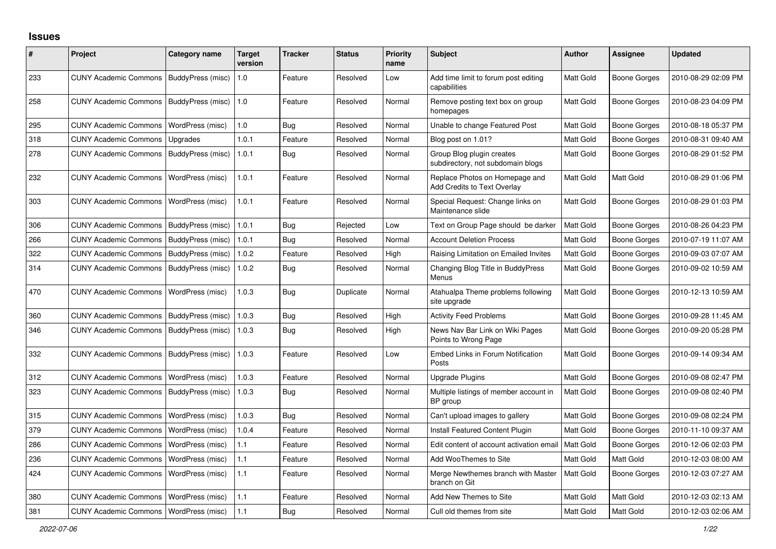## **Issues**

| $\vert$ # | Project                                  | <b>Category name</b> | <b>Target</b><br>version | <b>Tracker</b> | <b>Status</b> | <b>Priority</b><br>name | <b>Subject</b>                                                 | <b>Author</b> | <b>Assignee</b>     | <b>Updated</b>      |
|-----------|------------------------------------------|----------------------|--------------------------|----------------|---------------|-------------------------|----------------------------------------------------------------|---------------|---------------------|---------------------|
| 233       | <b>CUNY Academic Commons</b>             | BuddyPress (misc)    | 1.0                      | Feature        | Resolved      | Low                     | Add time limit to forum post editing<br>capabilities           | Matt Gold     | <b>Boone Gorges</b> | 2010-08-29 02:09 PM |
| 258       | <b>CUNY Academic Commons</b>             | BuddyPress (misc)    | 1.0                      | Feature        | Resolved      | Normal                  | Remove posting text box on group<br>homepages                  | Matt Gold     | <b>Boone Gorges</b> | 2010-08-23 04:09 PM |
| 295       | <b>CUNY Academic Commons</b>             | WordPress (misc)     | 1.0                      | Bug            | Resolved      | Normal                  | Unable to change Featured Post                                 | Matt Gold     | <b>Boone Gorges</b> | 2010-08-18 05:37 PM |
| 318       | <b>CUNY Academic Commons</b>             | Upgrades             | 1.0.1                    | Feature        | Resolved      | Normal                  | Blog post on 1.01?                                             | Matt Gold     | <b>Boone Gorges</b> | 2010-08-31 09:40 AM |
| 278       | <b>CUNY Academic Commons</b>             | BuddyPress (misc)    | 1.0.1                    | Bug            | Resolved      | Normal                  | Group Blog plugin creates<br>subdirectory, not subdomain blogs | Matt Gold     | <b>Boone Gorges</b> | 2010-08-29 01:52 PM |
| 232       | <b>CUNY Academic Commons</b>             | WordPress (misc)     | 1.0.1                    | Feature        | Resolved      | Normal                  | Replace Photos on Homepage and<br>Add Credits to Text Overlay  | Matt Gold     | Matt Gold           | 2010-08-29 01:06 PM |
| 303       | <b>CUNY Academic Commons</b>             | WordPress (misc)     | 1.0.1                    | Feature        | Resolved      | Normal                  | Special Request: Change links on<br>Maintenance slide          | Matt Gold     | Boone Gorges        | 2010-08-29 01:03 PM |
| 306       | <b>CUNY Academic Commons</b>             | BuddyPress (misc)    | 1.0.1                    | <b>Bug</b>     | Rejected      | Low                     | Text on Group Page should be darker                            | Matt Gold     | <b>Boone Gorges</b> | 2010-08-26 04:23 PM |
| 266       | <b>CUNY Academic Commons</b>             | BuddyPress (misc)    | 1.0.1                    | Bug            | Resolved      | Normal                  | <b>Account Deletion Process</b>                                | Matt Gold     | <b>Boone Gorges</b> | 2010-07-19 11:07 AM |
| 322       | <b>CUNY Academic Commons</b>             | BuddyPress (misc)    | 1.0.2                    | Feature        | Resolved      | High                    | Raising Limitation on Emailed Invites                          | Matt Gold     | Boone Gorges        | 2010-09-03 07:07 AM |
| 314       | <b>CUNY Academic Commons</b>             | BuddyPress (misc)    | 1.0.2                    | <b>Bug</b>     | Resolved      | Normal                  | Changing Blog Title in BuddyPress<br>Menus                     | Matt Gold     | <b>Boone Gorges</b> | 2010-09-02 10:59 AM |
| 470       | <b>CUNY Academic Commons</b>             | WordPress (misc)     | 1.0.3                    | <b>Bug</b>     | Duplicate     | Normal                  | Atahualpa Theme problems following<br>site upgrade             | Matt Gold     | Boone Gorges        | 2010-12-13 10:59 AM |
| 360       | <b>CUNY Academic Commons</b>             | BuddyPress (misc)    | 1.0.3                    | <b>Bug</b>     | Resolved      | High                    | <b>Activity Feed Problems</b>                                  | Matt Gold     | <b>Boone Gorges</b> | 2010-09-28 11:45 AM |
| 346       | <b>CUNY Academic Commons</b>             | BuddyPress (misc)    | 1.0.3                    | <b>Bug</b>     | Resolved      | High                    | News Nav Bar Link on Wiki Pages<br>Points to Wrong Page        | Matt Gold     | Boone Gorges        | 2010-09-20 05:28 PM |
| 332       | <b>CUNY Academic Commons</b>             | BuddyPress (misc)    | 1.0.3                    | Feature        | Resolved      | Low                     | <b>Embed Links in Forum Notification</b><br>Posts              | Matt Gold     | <b>Boone Gorges</b> | 2010-09-14 09:34 AM |
| 312       | <b>CUNY Academic Commons</b>             | WordPress (misc)     | 1.0.3                    | Feature        | Resolved      | Normal                  | Upgrade Plugins                                                | Matt Gold     | <b>Boone Gorges</b> | 2010-09-08 02:47 PM |
| 323       | <b>CUNY Academic Commons</b>             | BuddyPress (misc)    | 1.0.3                    | Bug            | Resolved      | Normal                  | Multiple listings of member account in<br>BP group             | Matt Gold     | Boone Gorges        | 2010-09-08 02:40 PM |
| 315       | <b>CUNY Academic Commons</b>             | WordPress (misc)     | 1.0.3                    | Bug            | Resolved      | Normal                  | Can't upload images to gallery                                 | Matt Gold     | <b>Boone Gorges</b> | 2010-09-08 02:24 PM |
| 379       | <b>CUNY Academic Commons</b>             | WordPress (misc)     | 1.0.4                    | Feature        | Resolved      | Normal                  | Install Featured Content Plugin                                | Matt Gold     | <b>Boone Gorges</b> | 2010-11-10 09:37 AM |
| 286       | <b>CUNY Academic Commons</b>             | WordPress (misc)     | 1.1                      | Feature        | Resolved      | Normal                  | Edit content of account activation email                       | Matt Gold     | <b>Boone Gorges</b> | 2010-12-06 02:03 PM |
| 236       | <b>CUNY Academic Commons</b>             | WordPress (misc)     | 1.1                      | Feature        | Resolved      | Normal                  | Add WooThemes to Site                                          | Matt Gold     | Matt Gold           | 2010-12-03 08:00 AM |
| 424       | <b>CUNY Academic Commons</b>             | WordPress (misc)     | 1.1                      | Feature        | Resolved      | Normal                  | Merge Newthemes branch with Master<br>branch on Git            | Matt Gold     | <b>Boone Gorges</b> | 2010-12-03 07:27 AM |
| 380       | <b>CUNY Academic Commons</b>             | WordPress (misc)     | 1.1                      | Feature        | Resolved      | Normal                  | Add New Themes to Site                                         | Matt Gold     | Matt Gold           | 2010-12-03 02:13 AM |
| 381       | CUNY Academic Commons   WordPress (misc) |                      | 1.1                      | <b>Bug</b>     | Resolved      | Normal                  | Cull old themes from site                                      | Matt Gold     | Matt Gold           | 2010-12-03 02:06 AM |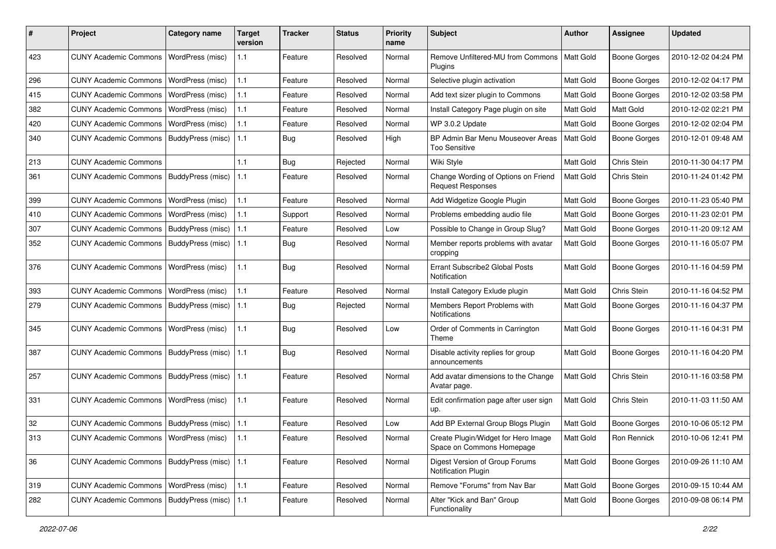| #   | Project                                         | <b>Category name</b>    | <b>Target</b><br>version | <b>Tracker</b> | <b>Status</b> | <b>Priority</b><br>name | <b>Subject</b>                                                   | <b>Author</b>    | <b>Assignee</b>     | <b>Updated</b>      |
|-----|-------------------------------------------------|-------------------------|--------------------------|----------------|---------------|-------------------------|------------------------------------------------------------------|------------------|---------------------|---------------------|
| 423 | <b>CUNY Academic Commons</b>                    | WordPress (misc)        | 1.1                      | Feature        | Resolved      | Normal                  | Remove Unfiltered-MU from Commons<br><b>Plugins</b>              | Matt Gold        | <b>Boone Gorges</b> | 2010-12-02 04:24 PM |
| 296 | <b>CUNY Academic Commons</b>                    | WordPress (misc)        | 1.1                      | Feature        | Resolved      | Normal                  | Selective plugin activation                                      | Matt Gold        | <b>Boone Gorges</b> | 2010-12-02 04:17 PM |
| 415 | <b>CUNY Academic Commons</b>                    | WordPress (misc)        | 1.1                      | Feature        | Resolved      | Normal                  | Add text sizer plugin to Commons                                 | Matt Gold        | Boone Gorges        | 2010-12-02 03:58 PM |
| 382 | <b>CUNY Academic Commons</b>                    | WordPress (misc)        | 1.1                      | Feature        | Resolved      | Normal                  | Install Category Page plugin on site                             | Matt Gold        | Matt Gold           | 2010-12-02 02:21 PM |
| 420 | <b>CUNY Academic Commons</b>                    | WordPress (misc)        | 1.1                      | Feature        | Resolved      | Normal                  | WP 3.0.2 Update                                                  | Matt Gold        | Boone Gorges        | 2010-12-02 02:04 PM |
| 340 | <b>CUNY Academic Commons</b>                    | BuddyPress (misc)       | 1.1                      | Bug            | Resolved      | High                    | BP Admin Bar Menu Mouseover Areas<br><b>Too Sensitive</b>        | Matt Gold        | <b>Boone Gorges</b> | 2010-12-01 09:48 AM |
| 213 | <b>CUNY Academic Commons</b>                    |                         | 1.1                      | Bug            | Rejected      | Normal                  | Wiki Style                                                       | Matt Gold        | Chris Stein         | 2010-11-30 04:17 PM |
| 361 | <b>CUNY Academic Commons</b>                    | BuddyPress (misc)       | 1.1                      | Feature        | Resolved      | Normal                  | Change Wording of Options on Friend<br><b>Request Responses</b>  | Matt Gold        | Chris Stein         | 2010-11-24 01:42 PM |
| 399 | <b>CUNY Academic Commons</b>                    | <b>WordPress (misc)</b> | 1.1                      | Feature        | Resolved      | Normal                  | Add Widgetize Google Plugin                                      | Matt Gold        | <b>Boone Gorges</b> | 2010-11-23 05:40 PM |
| 410 | <b>CUNY Academic Commons</b>                    | WordPress (misc)        | 1.1                      | Support        | Resolved      | Normal                  | Problems embedding audio file                                    | <b>Matt Gold</b> | <b>Boone Gorges</b> | 2010-11-23 02:01 PM |
| 307 | <b>CUNY Academic Commons</b>                    | BuddyPress (misc)       | 1.1                      | Feature        | Resolved      | Low                     | Possible to Change in Group Slug?                                | Matt Gold        | <b>Boone Gorges</b> | 2010-11-20 09:12 AM |
| 352 | <b>CUNY Academic Commons</b>                    | BuddyPress (misc)       | 1.1                      | <b>Bug</b>     | Resolved      | Normal                  | Member reports problems with avatar<br>cropping                  | Matt Gold        | Boone Gorges        | 2010-11-16 05:07 PM |
| 376 | <b>CUNY Academic Commons</b>                    | <b>WordPress (misc)</b> | 1.1                      | Bug            | Resolved      | Normal                  | Errant Subscribe2 Global Posts<br>Notification                   | <b>Matt Gold</b> | <b>Boone Gorges</b> | 2010-11-16 04:59 PM |
| 393 | <b>CUNY Academic Commons</b>                    | WordPress (misc)        | 1.1                      | Feature        | Resolved      | Normal                  | Install Category Exlude plugin                                   | Matt Gold        | Chris Stein         | 2010-11-16 04:52 PM |
| 279 | <b>CUNY Academic Commons</b>                    | BuddyPress (misc)       | 1.1                      | Bug            | Rejected      | Normal                  | Members Report Problems with<br>Notifications                    | Matt Gold        | Boone Gorges        | 2010-11-16 04:37 PM |
| 345 | <b>CUNY Academic Commons</b>                    | WordPress (misc)        | 1.1                      | Bug            | Resolved      | Low                     | Order of Comments in Carrington<br>Theme                         | Matt Gold        | <b>Boone Gorges</b> | 2010-11-16 04:31 PM |
| 387 | <b>CUNY Academic Commons</b>                    | BuddyPress (misc)       | 1.1                      | Bug            | Resolved      | Normal                  | Disable activity replies for group<br>announcements              | Matt Gold        | Boone Gorges        | 2010-11-16 04:20 PM |
| 257 | <b>CUNY Academic Commons</b>                    | BuddyPress (misc)       | 1.1                      | Feature        | Resolved      | Normal                  | Add avatar dimensions to the Change<br>Avatar page.              | <b>Matt Gold</b> | Chris Stein         | 2010-11-16 03:58 PM |
| 331 | <b>CUNY Academic Commons</b>                    | <b>WordPress (misc)</b> | 1.1                      | Feature        | Resolved      | Normal                  | Edit confirmation page after user sign<br>up.                    | <b>Matt Gold</b> | Chris Stein         | 2010-11-03 11:50 AM |
| 32  | CUNY Academic Commons   BuddyPress (misc)       |                         | 1.1                      | Feature        | Resolved      | Low                     | Add BP External Group Blogs Plugin                               | Matt Gold        | <b>Boone Gorges</b> | 2010-10-06 05:12 PM |
| 313 | CUNY Academic Commons   WordPress (misc)   1.1  |                         |                          | Feature        | Resolved      | Normal                  | Create Plugin/Widget for Hero Image<br>Space on Commons Homepage | Matt Gold        | Ron Rennick         | 2010-10-06 12:41 PM |
| 36  | CUNY Academic Commons   BuddyPress (misc)   1.1 |                         |                          | Feature        | Resolved      | Normal                  | Digest Version of Group Forums<br>Notification Plugin            | Matt Gold        | <b>Boone Gorges</b> | 2010-09-26 11:10 AM |
| 319 | CUNY Academic Commons   WordPress (misc)        |                         | 1.1                      | Feature        | Resolved      | Normal                  | Remove "Forums" from Nav Bar                                     | Matt Gold        | Boone Gorges        | 2010-09-15 10:44 AM |
| 282 | CUNY Academic Commons   BuddyPress (misc)   1.1 |                         |                          | Feature        | Resolved      | Normal                  | Alter "Kick and Ban" Group<br>Functionality                      | <b>Matt Gold</b> | <b>Boone Gorges</b> | 2010-09-08 06:14 PM |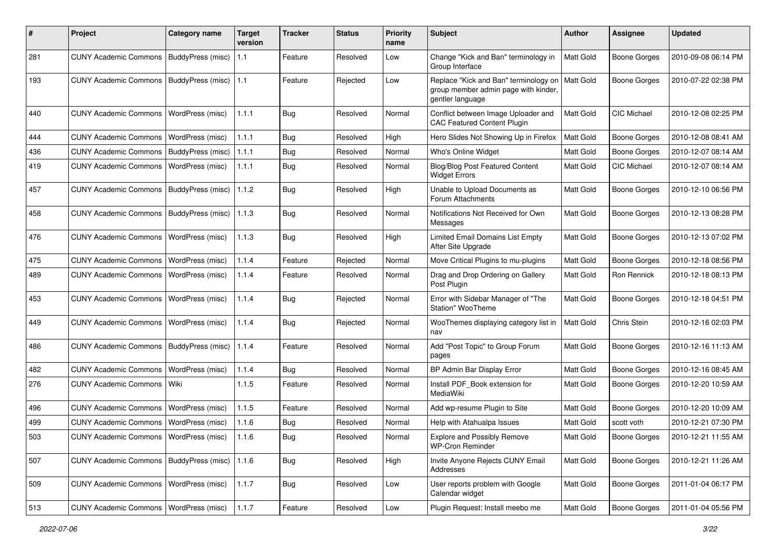| #   | Project                                           | Category name           | <b>Target</b><br>version | Tracker    | <b>Status</b> | <b>Priority</b><br>name | <b>Subject</b>                                                                                    | <b>Author</b>    | <b>Assignee</b>     | <b>Updated</b>      |
|-----|---------------------------------------------------|-------------------------|--------------------------|------------|---------------|-------------------------|---------------------------------------------------------------------------------------------------|------------------|---------------------|---------------------|
| 281 | <b>CUNY Academic Commons</b>                      | BuddyPress (misc)       | 1.1                      | Feature    | Resolved      | Low                     | Change "Kick and Ban" terminology in<br>Group Interface                                           | Matt Gold        | <b>Boone Gorges</b> | 2010-09-08 06:14 PM |
| 193 | <b>CUNY Academic Commons</b>                      | BuddyPress (misc)   1.1 |                          | Feature    | Rejected      | Low                     | Replace "Kick and Ban" terminology on<br>group member admin page with kinder,<br>gentler language | Matt Gold        | <b>Boone Gorges</b> | 2010-07-22 02:38 PM |
| 440 | <b>CUNY Academic Commons</b>                      | WordPress (misc)        | 1.1.1                    | Bug        | Resolved      | Normal                  | Conflict between Image Uploader and<br><b>CAC Featured Content Plugin</b>                         | <b>Matt Gold</b> | <b>CIC Michael</b>  | 2010-12-08 02:25 PM |
| 444 | <b>CUNY Academic Commons</b>                      | WordPress (misc)        | 1.1.1                    | Bug        | Resolved      | High                    | Hero Slides Not Showing Up in Firefox                                                             | Matt Gold        | Boone Gorges        | 2010-12-08 08:41 AM |
| 436 | <b>CUNY Academic Commons</b>                      | BuddyPress (misc)       | 1.1.1                    | <b>Bug</b> | Resolved      | Normal                  | Who's Online Widget                                                                               | Matt Gold        | Boone Gorges        | 2010-12-07 08:14 AM |
| 419 | <b>CUNY Academic Commons</b>                      | WordPress (misc)        | 1.1.1                    | <b>Bug</b> | Resolved      | Normal                  | <b>Blog/Blog Post Featured Content</b><br><b>Widget Errors</b>                                    | Matt Gold        | <b>CIC Michael</b>  | 2010-12-07 08:14 AM |
| 457 | <b>CUNY Academic Commons</b>                      | BuddyPress (misc)       | 1.1.2                    | Bug        | Resolved      | High                    | Unable to Upload Documents as<br>Forum Attachments                                                | Matt Gold        | <b>Boone Gorges</b> | 2010-12-10 06:56 PM |
| 458 | <b>CUNY Academic Commons</b>                      | BuddyPress (misc)       | 1.1.3                    | <b>Bug</b> | Resolved      | Normal                  | Notifications Not Received for Own<br>Messages                                                    | Matt Gold        | Boone Gorges        | 2010-12-13 08:28 PM |
| 476 | <b>CUNY Academic Commons</b>                      | WordPress (misc)        | 1.1.3                    | <b>Bug</b> | Resolved      | High                    | Limited Email Domains List Empty<br>After Site Upgrade                                            | Matt Gold        | Boone Gorges        | 2010-12-13 07:02 PM |
| 475 | <b>CUNY Academic Commons</b>                      | WordPress (misc)        | 1.1.4                    | Feature    | Rejected      | Normal                  | Move Critical Plugins to mu-plugins                                                               | Matt Gold        | <b>Boone Gorges</b> | 2010-12-18 08:56 PM |
| 489 | <b>CUNY Academic Commons</b>                      | WordPress (misc)        | 1.1.4                    | Feature    | Resolved      | Normal                  | Drag and Drop Ordering on Gallery<br>Post Plugin                                                  | Matt Gold        | Ron Rennick         | 2010-12-18 08:13 PM |
| 453 | <b>CUNY Academic Commons</b>                      | <b>WordPress (misc)</b> | 1.1.4                    | <b>Bug</b> | Rejected      | Normal                  | Error with Sidebar Manager of "The<br>Station" WooTheme                                           | Matt Gold        | Boone Gorges        | 2010-12-18 04:51 PM |
| 449 | <b>CUNY Academic Commons</b>                      | WordPress (misc)        | 1.1.4                    | <b>Bug</b> | Rejected      | Normal                  | WooThemes displaying category list in<br>nav                                                      | <b>Matt Gold</b> | Chris Stein         | 2010-12-16 02:03 PM |
| 486 | <b>CUNY Academic Commons</b>                      | BuddyPress (misc)       | 1.1.4                    | Feature    | Resolved      | Normal                  | Add "Post Topic" to Group Forum<br>pages                                                          | Matt Gold        | Boone Gorges        | 2010-12-16 11:13 AM |
| 482 | <b>CUNY Academic Commons</b>                      | WordPress (misc)        | 1.1.4                    | Bug        | Resolved      | Normal                  | BP Admin Bar Display Error                                                                        | Matt Gold        | <b>Boone Gorges</b> | 2010-12-16 08:45 AM |
| 276 | CUNY Academic Commons   Wiki                      |                         | 1.1.5                    | Feature    | Resolved      | Normal                  | Install PDF_Book extension for<br>MediaWiki                                                       | Matt Gold        | Boone Gorges        | 2010-12-20 10:59 AM |
| 496 | <b>CUNY Academic Commons</b>                      | WordPress (misc)        | 1.1.5                    | Feature    | Resolved      | Normal                  | Add wp-resume Plugin to Site                                                                      | Matt Gold        | Boone Gorges        | 2010-12-20 10:09 AM |
| 499 | <b>CUNY Academic Commons</b>                      | WordPress (misc)        | 1.1.6                    | Bug        | Resolved      | Normal                  | Help with Atahualpa Issues                                                                        | Matt Gold        | scott voth          | 2010-12-21 07:30 PM |
| 503 | CUNY Academic Commons   WordPress (misc)          |                         | 1.1.6                    | <b>Bug</b> | Resolved      | Normal                  | <b>Explore and Possibly Remove</b><br><b>WP-Cron Reminder</b>                                     | Matt Gold        | Boone Gorges        | 2010-12-21 11:55 AM |
| 507 | CUNY Academic Commons   BuddyPress (misc)   1.1.6 |                         |                          | <b>Bug</b> | Resolved      | High                    | Invite Anyone Rejects CUNY Email<br>Addresses                                                     | Matt Gold        | Boone Gorges        | 2010-12-21 11:26 AM |
| 509 | <b>CUNY Academic Commons</b>                      | WordPress (misc)        | 1.1.7                    | Bug        | Resolved      | Low                     | User reports problem with Google<br>Calendar widget                                               | Matt Gold        | <b>Boone Gorges</b> | 2011-01-04 06:17 PM |
| 513 | <b>CUNY Academic Commons</b>                      | WordPress (misc)        | 1.1.7                    | Feature    | Resolved      | Low                     | Plugin Request: Install meebo me                                                                  | Matt Gold        | Boone Gorges        | 2011-01-04 05:56 PM |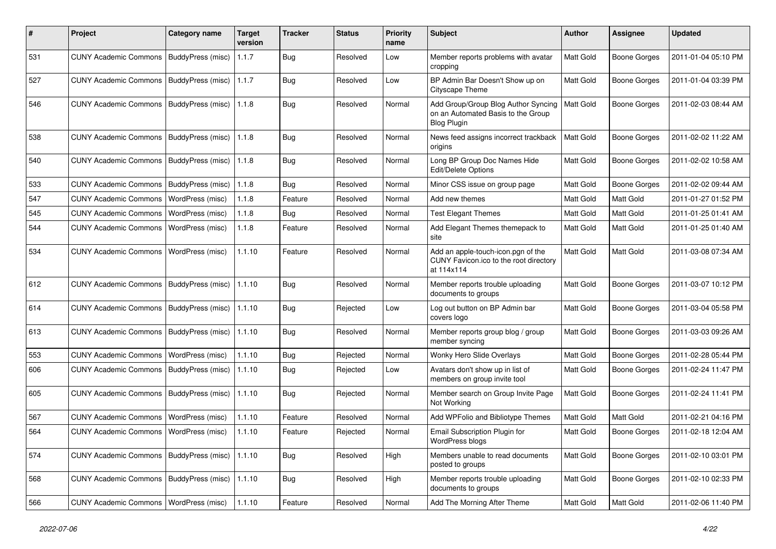| #   | Project                                  | <b>Category name</b>     | <b>Target</b><br>version | <b>Tracker</b> | <b>Status</b> | <b>Priority</b><br>name | Subject                                                                                         | <b>Author</b> | <b>Assignee</b>     | <b>Updated</b>      |
|-----|------------------------------------------|--------------------------|--------------------------|----------------|---------------|-------------------------|-------------------------------------------------------------------------------------------------|---------------|---------------------|---------------------|
| 531 | <b>CUNY Academic Commons</b>             | BuddyPress (misc)        | 1.1.7                    | <b>Bug</b>     | Resolved      | Low                     | Member reports problems with avatar<br>cropping                                                 | Matt Gold     | <b>Boone Gorges</b> | 2011-01-04 05:10 PM |
| 527 | <b>CUNY Academic Commons</b>             | BuddyPress (misc)        | 1.1.7                    | Bug            | Resolved      | Low                     | BP Admin Bar Doesn't Show up on<br>Cityscape Theme                                              | Matt Gold     | <b>Boone Gorges</b> | 2011-01-04 03:39 PM |
| 546 | <b>CUNY Academic Commons</b>             | BuddyPress (misc)        | 1.1.8                    | Bug            | Resolved      | Normal                  | Add Group/Group Blog Author Syncing<br>on an Automated Basis to the Group<br><b>Blog Plugin</b> | Matt Gold     | <b>Boone Gorges</b> | 2011-02-03 08:44 AM |
| 538 | <b>CUNY Academic Commons</b>             | BuddyPress (misc)        | 1.1.8                    | Bug            | Resolved      | Normal                  | News feed assigns incorrect trackback<br>origins                                                | Matt Gold     | <b>Boone Gorges</b> | 2011-02-02 11:22 AM |
| 540 | <b>CUNY Academic Commons</b>             | BuddyPress (misc)        | 1.1.8                    | Bug            | Resolved      | Normal                  | Long BP Group Doc Names Hide<br>Edit/Delete Options                                             | Matt Gold     | <b>Boone Gorges</b> | 2011-02-02 10:58 AM |
| 533 | <b>CUNY Academic Commons</b>             | BuddyPress (misc)        | 1.1.8                    | <b>Bug</b>     | Resolved      | Normal                  | Minor CSS issue on group page                                                                   | Matt Gold     | <b>Boone Gorges</b> | 2011-02-02 09:44 AM |
| 547 | <b>CUNY Academic Commons</b>             | WordPress (misc)         | 1.1.8                    | Feature        | Resolved      | Normal                  | Add new themes                                                                                  | Matt Gold     | Matt Gold           | 2011-01-27 01:52 PM |
| 545 | <b>CUNY Academic Commons</b>             | WordPress (misc)         | 1.1.8                    | Bug            | Resolved      | Normal                  | <b>Test Elegant Themes</b>                                                                      | Matt Gold     | Matt Gold           | 2011-01-25 01:41 AM |
| 544 | <b>CUNY Academic Commons</b>             | WordPress (misc)         | 1.1.8                    | Feature        | Resolved      | Normal                  | Add Elegant Themes themepack to<br>site                                                         | Matt Gold     | Matt Gold           | 2011-01-25 01:40 AM |
| 534 | <b>CUNY Academic Commons</b>             | WordPress (misc)         | 1.1.10                   | Feature        | Resolved      | Normal                  | Add an apple-touch-icon.pgn of the<br>CUNY Favicon.ico to the root directory<br>at 114x114      | Matt Gold     | <b>Matt Gold</b>    | 2011-03-08 07:34 AM |
| 612 | <b>CUNY Academic Commons</b>             | <b>BuddyPress (misc)</b> | 1.1.10                   | Bug            | Resolved      | Normal                  | Member reports trouble uploading<br>documents to groups                                         | Matt Gold     | <b>Boone Gorges</b> | 2011-03-07 10:12 PM |
| 614 | <b>CUNY Academic Commons</b>             | <b>BuddyPress (misc)</b> | 1.1.10                   | Bug            | Rejected      | Low                     | Log out button on BP Admin bar<br>covers logo                                                   | Matt Gold     | <b>Boone Gorges</b> | 2011-03-04 05:58 PM |
| 613 | <b>CUNY Academic Commons</b>             | BuddyPress (misc)        | 1.1.10                   | Bug            | Resolved      | Normal                  | Member reports group blog / group<br>member syncing                                             | Matt Gold     | <b>Boone Gorges</b> | 2011-03-03 09:26 AM |
| 553 | <b>CUNY Academic Commons</b>             | WordPress (misc)         | 1.1.10                   | Bug            | Rejected      | Normal                  | Wonky Hero Slide Overlays                                                                       | Matt Gold     | <b>Boone Gorges</b> | 2011-02-28 05:44 PM |
| 606 | <b>CUNY Academic Commons</b>             | BuddyPress (misc)        | 1.1.10                   | Bug            | Rejected      | Low                     | Avatars don't show up in list of<br>members on group invite tool                                | Matt Gold     | <b>Boone Gorges</b> | 2011-02-24 11:47 PM |
| 605 | <b>CUNY Academic Commons</b>             | BuddyPress (misc)        | 1.1.10                   | Bug            | Rejected      | Normal                  | Member search on Group Invite Page<br>Not Working                                               | Matt Gold     | <b>Boone Gorges</b> | 2011-02-24 11:41 PM |
| 567 | <b>CUNY Academic Commons</b>             | WordPress (misc)         | 1.1.10                   | Feature        | Resolved      | Normal                  | Add WPFolio and Bibliotype Themes                                                               | Matt Gold     | Matt Gold           | 2011-02-21 04:16 PM |
| 564 | <b>CUNY Academic Commons</b>             | WordPress (misc)         | 1.1.10                   | Feature        | Rejected      | Normal                  | Email Subscription Plugin for<br>WordPress blogs                                                | Matt Gold     | Boone Gorges        | 2011-02-18 12:04 AM |
| 574 | <b>CUNY Academic Commons</b>             | BuddyPress (misc)        | 1.1.10                   | Bug            | Resolved      | High                    | Members unable to read documents<br>posted to groups                                            | Matt Gold     | <b>Boone Gorges</b> | 2011-02-10 03:01 PM |
| 568 | <b>CUNY Academic Commons</b>             | BuddyPress (misc) 1.1.10 |                          | <b>Bug</b>     | Resolved      | High                    | Member reports trouble uploading<br>documents to groups                                         | Matt Gold     | Boone Gorges        | 2011-02-10 02:33 PM |
| 566 | CUNY Academic Commons   WordPress (misc) |                          | 1.1.10                   | Feature        | Resolved      | Normal                  | Add The Morning After Theme                                                                     | Matt Gold     | Matt Gold           | 2011-02-06 11:40 PM |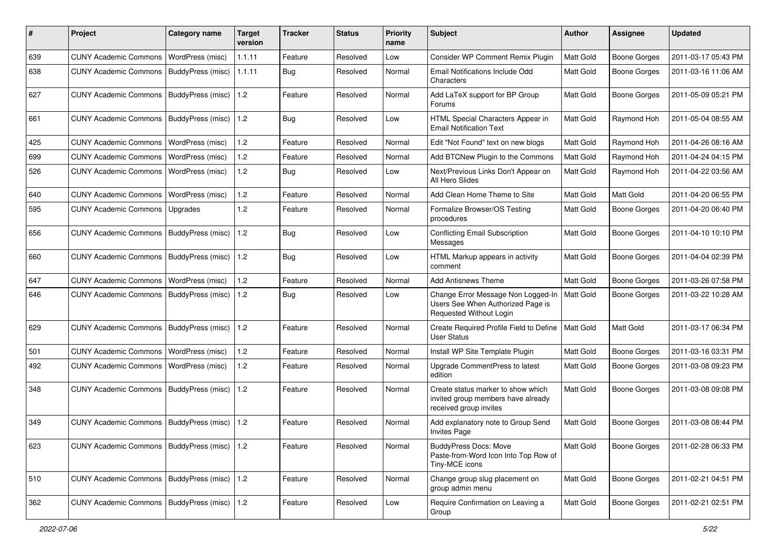| #   | Project                                         | Category name     | <b>Target</b><br>version | <b>Tracker</b> | <b>Status</b> | <b>Priority</b><br>name | <b>Subject</b>                                                                                     | Author           | <b>Assignee</b>     | <b>Updated</b>      |
|-----|-------------------------------------------------|-------------------|--------------------------|----------------|---------------|-------------------------|----------------------------------------------------------------------------------------------------|------------------|---------------------|---------------------|
| 639 | <b>CUNY Academic Commons</b>                    | WordPress (misc)  | 1.1.11                   | Feature        | Resolved      | Low                     | Consider WP Comment Remix Plugin                                                                   | Matt Gold        | <b>Boone Gorges</b> | 2011-03-17 05:43 PM |
| 638 | <b>CUNY Academic Commons</b>                    | BuddyPress (misc) | 1.1.11                   | Bug            | Resolved      | Normal                  | Email Notifications Include Odd<br>Characters                                                      | Matt Gold        | <b>Boone Gorges</b> | 2011-03-16 11:06 AM |
| 627 | CUNY Academic Commons   BuddyPress (misc)       |                   | 1.2                      | Feature        | Resolved      | Normal                  | Add LaTeX support for BP Group<br>Forums                                                           | Matt Gold        | <b>Boone Gorges</b> | 2011-05-09 05:21 PM |
| 661 | <b>CUNY Academic Commons</b>                    | BuddyPress (misc) | 1.2                      | Bug            | Resolved      | Low                     | HTML Special Characters Appear in<br><b>Email Notification Text</b>                                | Matt Gold        | Raymond Hoh         | 2011-05-04 08:55 AM |
| 425 | <b>CUNY Academic Commons</b>                    | WordPress (misc)  | 1.2                      | Feature        | Resolved      | Normal                  | Edit "Not Found" text on new blogs                                                                 | Matt Gold        | Raymond Hoh         | 2011-04-26 08:16 AM |
| 699 | <b>CUNY Academic Commons</b>                    | WordPress (misc)  | 1.2                      | Feature        | Resolved      | Normal                  | Add BTCNew Plugin to the Commons                                                                   | Matt Gold        | Raymond Hoh         | 2011-04-24 04:15 PM |
| 526 | <b>CUNY Academic Commons</b>                    | WordPress (misc)  | $1.2$                    | Bug            | Resolved      | Low                     | Next/Previous Links Don't Appear on<br>All Hero Slides                                             | Matt Gold        | Raymond Hoh         | 2011-04-22 03:56 AM |
| 640 | <b>CUNY Academic Commons</b>                    | WordPress (misc)  | $1.2$                    | Feature        | Resolved      | Normal                  | Add Clean Home Theme to Site                                                                       | Matt Gold        | Matt Gold           | 2011-04-20 06:55 PM |
| 595 | <b>CUNY Academic Commons</b>                    | Upgrades          | $1.2$                    | Feature        | Resolved      | Normal                  | Formalize Browser/OS Testing<br>procedures                                                         | Matt Gold        | Boone Gorges        | 2011-04-20 06:40 PM |
| 656 | CUNY Academic Commons   BuddyPress (misc)       |                   | 1.2                      | Bug            | Resolved      | Low                     | <b>Conflicting Email Subscription</b><br>Messages                                                  | Matt Gold        | Boone Gorges        | 2011-04-10 10:10 PM |
| 660 | CUNY Academic Commons   BuddyPress (misc)       |                   | 1.2                      | Bug            | Resolved      | Low                     | HTML Markup appears in activity<br>comment                                                         | Matt Gold        | Boone Gorges        | 2011-04-04 02:39 PM |
| 647 | <b>CUNY Academic Commons</b>                    | WordPress (misc)  | 1.2                      | Feature        | Resolved      | Normal                  | <b>Add Antisnews Theme</b>                                                                         | Matt Gold        | <b>Boone Gorges</b> | 2011-03-26 07:58 PM |
| 646 | <b>CUNY Academic Commons</b>                    | BuddyPress (misc) | 1.2                      | Bug            | Resolved      | Low                     | Change Error Message Non Logged-In<br>Users See When Authorized Page is<br>Requested Without Login | <b>Matt Gold</b> | Boone Gorges        | 2011-03-22 10:28 AM |
| 629 | CUNY Academic Commons   BuddyPress (misc)       |                   | 1.2                      | Feature        | Resolved      | Normal                  | Create Required Profile Field to Define<br><b>User Status</b>                                      | Matt Gold        | Matt Gold           | 2011-03-17 06:34 PM |
| 501 | <b>CUNY Academic Commons</b>                    | WordPress (misc)  | 1.2                      | Feature        | Resolved      | Normal                  | Install WP Site Template Plugin                                                                    | Matt Gold        | <b>Boone Gorges</b> | 2011-03-16 03:31 PM |
| 492 | <b>CUNY Academic Commons</b>                    | WordPress (misc)  | 1.2                      | Feature        | Resolved      | Normal                  | Upgrade CommentPress to latest<br>edition                                                          | Matt Gold        | Boone Gorges        | 2011-03-08 09:23 PM |
| 348 | <b>CUNY Academic Commons</b>                    | BuddyPress (misc) | 1.2                      | Feature        | Resolved      | Normal                  | Create status marker to show which<br>invited group members have already<br>received group invites | <b>Matt Gold</b> | Boone Gorges        | 2011-03-08 09:08 PM |
| 349 | <b>CUNY Academic Commons</b>                    | BuddyPress (misc) | 1.2                      | Feature        | Resolved      | Normal                  | Add explanatory note to Group Send<br><b>Invites Page</b>                                          | <b>Matt Gold</b> | <b>Boone Gorges</b> | 2011-03-08 08:44 PM |
| 623 | CUNY Academic Commons   BuddyPress (misc)   1.2 |                   |                          | Feature        | Resolved      | Normal                  | <b>BuddyPress Docs: Move</b><br>Paste-from-Word Icon Into Top Row of<br>Tiny-MCE icons             | Matt Gold        | Boone Gorges        | 2011-02-28 06:33 PM |
| 510 | CUNY Academic Commons   BuddyPress (misc)       |                   | $\vert$ 1.2              | Feature        | Resolved      | Normal                  | Change group slug placement on<br>group admin menu                                                 | Matt Gold        | Boone Gorges        | 2011-02-21 04:51 PM |
| 362 | CUNY Academic Commons   BuddyPress (misc)   1.2 |                   |                          | Feature        | Resolved      | Low                     | Require Confirmation on Leaving a<br>Group                                                         | Matt Gold        | Boone Gorges        | 2011-02-21 02:51 PM |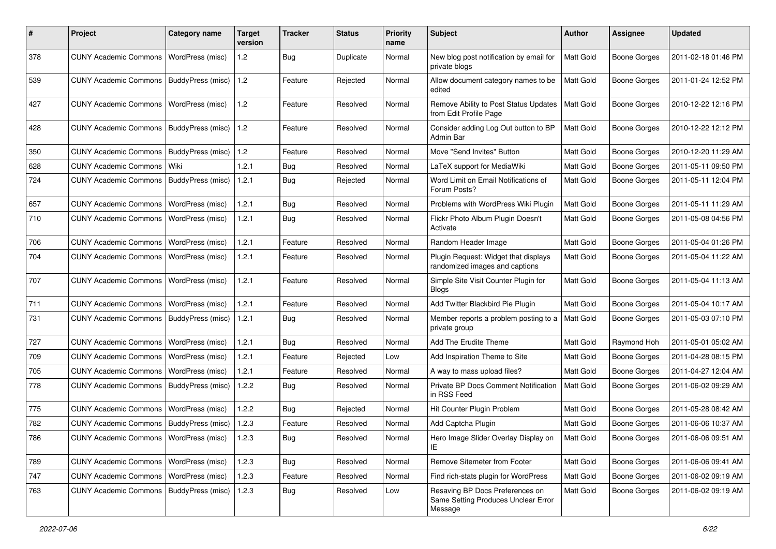| #   | Project                                   | Category name     | Target<br>version | <b>Tracker</b> | <b>Status</b> | <b>Priority</b><br>name | <b>Subject</b>                                                                    | <b>Author</b> | <b>Assignee</b>     | <b>Updated</b>      |
|-----|-------------------------------------------|-------------------|-------------------|----------------|---------------|-------------------------|-----------------------------------------------------------------------------------|---------------|---------------------|---------------------|
| 378 | <b>CUNY Academic Commons</b>              | WordPress (misc)  | 1.2               | Bug            | Duplicate     | Normal                  | New blog post notification by email for<br>private blogs                          | Matt Gold     | Boone Gorges        | 2011-02-18 01:46 PM |
| 539 | <b>CUNY Academic Commons</b>              | BuddyPress (misc) | 1.2               | Feature        | Rejected      | Normal                  | Allow document category names to be<br>edited                                     | Matt Gold     | <b>Boone Gorges</b> | 2011-01-24 12:52 PM |
| 427 | <b>CUNY Academic Commons</b>              | WordPress (misc)  | 1.2               | Feature        | Resolved      | Normal                  | Remove Ability to Post Status Updates<br>from Edit Profile Page                   | Matt Gold     | <b>Boone Gorges</b> | 2010-12-22 12:16 PM |
| 428 | <b>CUNY Academic Commons</b>              | BuddyPress (misc) | 1.2               | Feature        | Resolved      | Normal                  | Consider adding Log Out button to BP<br>Admin Bar                                 | Matt Gold     | <b>Boone Gorges</b> | 2010-12-22 12:12 PM |
| 350 | <b>CUNY Academic Commons</b>              | BuddyPress (misc) | 1.2               | Feature        | Resolved      | Normal                  | Move "Send Invites" Button                                                        | Matt Gold     | <b>Boone Gorges</b> | 2010-12-20 11:29 AM |
| 628 | <b>CUNY Academic Commons</b>              | Wiki              | 1.2.1             | Bug            | Resolved      | Normal                  | LaTeX support for MediaWiki                                                       | Matt Gold     | <b>Boone Gorges</b> | 2011-05-11 09:50 PM |
| 724 | <b>CUNY Academic Commons</b>              | BuddyPress (misc) | 1.2.1             | <b>Bug</b>     | Rejected      | Normal                  | Word Limit on Email Notifications of<br>Forum Posts?                              | Matt Gold     | <b>Boone Gorges</b> | 2011-05-11 12:04 PM |
| 657 | <b>CUNY Academic Commons</b>              | WordPress (misc)  | 1.2.1             | <b>Bug</b>     | Resolved      | Normal                  | Problems with WordPress Wiki Plugin                                               | Matt Gold     | <b>Boone Gorges</b> | 2011-05-11 11:29 AM |
| 710 | <b>CUNY Academic Commons</b>              | WordPress (misc)  | 1.2.1             | Bug            | Resolved      | Normal                  | Flickr Photo Album Plugin Doesn't<br>Activate                                     | Matt Gold     | <b>Boone Gorges</b> | 2011-05-08 04:56 PM |
| 706 | <b>CUNY Academic Commons</b>              | WordPress (misc)  | 1.2.1             | Feature        | Resolved      | Normal                  | Random Header Image                                                               | Matt Gold     | <b>Boone Gorges</b> | 2011-05-04 01:26 PM |
| 704 | <b>CUNY Academic Commons</b>              | WordPress (misc)  | 1.2.1             | Feature        | Resolved      | Normal                  | Plugin Request: Widget that displays<br>randomized images and captions            | Matt Gold     | <b>Boone Gorges</b> | 2011-05-04 11:22 AM |
| 707 | <b>CUNY Academic Commons</b>              | WordPress (misc)  | 1.2.1             | Feature        | Resolved      | Normal                  | Simple Site Visit Counter Plugin for<br>Blogs                                     | Matt Gold     | <b>Boone Gorges</b> | 2011-05-04 11:13 AM |
| 711 | <b>CUNY Academic Commons</b>              | WordPress (misc)  | 1.2.1             | Feature        | Resolved      | Normal                  | Add Twitter Blackbird Pie Plugin                                                  | Matt Gold     | <b>Boone Gorges</b> | 2011-05-04 10:17 AM |
| 731 | <b>CUNY Academic Commons</b>              | BuddyPress (misc) | 1.2.1             | Bug            | Resolved      | Normal                  | Member reports a problem posting to a<br>private group                            | Matt Gold     | <b>Boone Gorges</b> | 2011-05-03 07:10 PM |
| 727 | <b>CUNY Academic Commons</b>              | WordPress (misc)  | 1.2.1             | Bug            | Resolved      | Normal                  | Add The Erudite Theme                                                             | Matt Gold     | Raymond Hoh         | 2011-05-01 05:02 AM |
| 709 | <b>CUNY Academic Commons</b>              | WordPress (misc)  | 1.2.1             | Feature        | Rejected      | Low                     | Add Inspiration Theme to Site                                                     | Matt Gold     | <b>Boone Gorges</b> | 2011-04-28 08:15 PM |
| 705 | <b>CUNY Academic Commons</b>              | WordPress (misc)  | 1.2.1             | Feature        | Resolved      | Normal                  | A way to mass upload files?                                                       | Matt Gold     | <b>Boone Gorges</b> | 2011-04-27 12:04 AM |
| 778 | <b>CUNY Academic Commons</b>              | BuddyPress (misc) | 1.2.2             | Bug            | Resolved      | Normal                  | Private BP Docs Comment Notification<br>in RSS Feed                               | Matt Gold     | <b>Boone Gorges</b> | 2011-06-02 09:29 AM |
| 775 | <b>CUNY Academic Commons</b>              | WordPress (misc)  | 1.2.2             | Bug            | Rejected      | Normal                  | Hit Counter Plugin Problem                                                        | Matt Gold     | <b>Boone Gorges</b> | 2011-05-28 08:42 AM |
| 782 | CUNY Academic Commons   BuddyPress (misc) |                   | 1.2.3             | Feature        | Resolved      | Normal                  | Add Captcha Plugin                                                                | Matt Gold     | <b>Boone Gorges</b> | 2011-06-06 10:37 AM |
| 786 | CUNY Academic Commons   WordPress (misc)  |                   | 1.2.3             | Bug            | Resolved      | Normal                  | Hero Image Slider Overlay Display on<br>IE                                        | Matt Gold     | Boone Gorges        | 2011-06-06 09:51 AM |
| 789 | CUNY Academic Commons   WordPress (misc)  |                   | 1.2.3             | Bug            | Resolved      | Normal                  | Remove Sitemeter from Footer                                                      | Matt Gold     | <b>Boone Gorges</b> | 2011-06-06 09:41 AM |
| 747 | <b>CUNY Academic Commons</b>              | WordPress (misc)  | 1.2.3             | Feature        | Resolved      | Normal                  | Find rich-stats plugin for WordPress                                              | Matt Gold     | Boone Gorges        | 2011-06-02 09:19 AM |
| 763 | CUNY Academic Commons   BuddyPress (misc) |                   | 1.2.3             | Bug            | Resolved      | Low                     | Resaving BP Docs Preferences on<br>Same Setting Produces Unclear Error<br>Message | Matt Gold     | <b>Boone Gorges</b> | 2011-06-02 09:19 AM |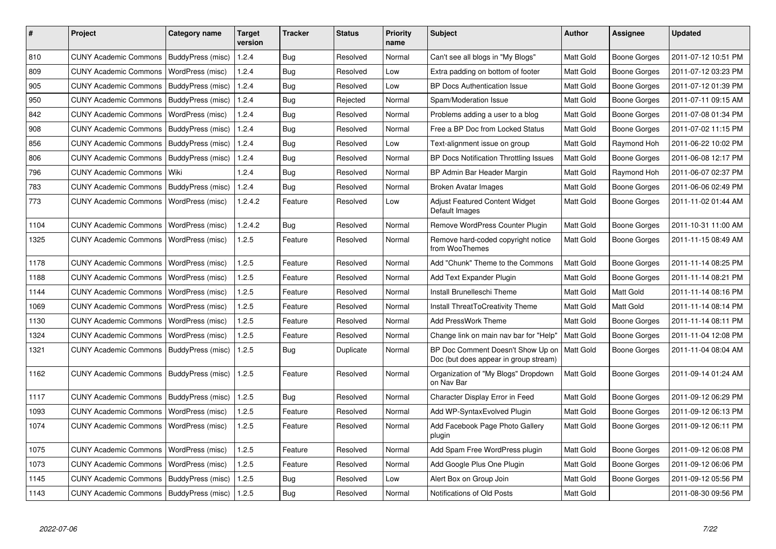| $\#$ | Project                                   | Category name     | <b>Target</b><br>version | <b>Tracker</b> | <b>Status</b> | Priority<br>name | <b>Subject</b>                                                             | <b>Author</b>    | <b>Assignee</b>     | <b>Updated</b>      |
|------|-------------------------------------------|-------------------|--------------------------|----------------|---------------|------------------|----------------------------------------------------------------------------|------------------|---------------------|---------------------|
| 810  | <b>CUNY Academic Commons</b>              | BuddyPress (misc) | 1.2.4                    | Bug            | Resolved      | Normal           | Can't see all blogs in "My Blogs"                                          | <b>Matt Gold</b> | <b>Boone Gorges</b> | 2011-07-12 10:51 PM |
| 809  | <b>CUNY Academic Commons</b>              | WordPress (misc)  | 1.2.4                    | <b>Bug</b>     | Resolved      | Low              | Extra padding on bottom of footer                                          | <b>Matt Gold</b> | Boone Gorges        | 2011-07-12 03:23 PM |
| 905  | <b>CUNY Academic Commons</b>              | BuddyPress (misc) | 1.2.4                    | <b>Bug</b>     | Resolved      | Low              | <b>BP Docs Authentication Issue</b>                                        | Matt Gold        | Boone Gorges        | 2011-07-12 01:39 PM |
| 950  | <b>CUNY Academic Commons</b>              | BuddyPress (misc) | 1.2.4                    | Bug            | Rejected      | Normal           | Spam/Moderation Issue                                                      | <b>Matt Gold</b> | Boone Gorges        | 2011-07-11 09:15 AM |
| 842  | <b>CUNY Academic Commons</b>              | WordPress (misc)  | 1.2.4                    | Bug            | Resolved      | Normal           | Problems adding a user to a blog                                           | Matt Gold        | Boone Gorges        | 2011-07-08 01:34 PM |
| 908  | <b>CUNY Academic Commons</b>              | BuddyPress (misc) | 1.2.4                    | Bug            | Resolved      | Normal           | Free a BP Doc from Locked Status                                           | <b>Matt Gold</b> | Boone Gorges        | 2011-07-02 11:15 PM |
| 856  | <b>CUNY Academic Commons</b>              | BuddyPress (misc) | 1.2.4                    | <b>Bug</b>     | Resolved      | Low              | Text-alignment issue on group                                              | Matt Gold        | Raymond Hoh         | 2011-06-22 10:02 PM |
| 806  | <b>CUNY Academic Commons</b>              | BuddyPress (misc) | 1.2.4                    | Bug            | Resolved      | Normal           | BP Docs Notification Throttling Issues                                     | <b>Matt Gold</b> | Boone Gorges        | 2011-06-08 12:17 PM |
| 796  | <b>CUNY Academic Commons</b>              | Wiki              | 1.2.4                    | Bug            | Resolved      | Normal           | BP Admin Bar Header Margin                                                 | Matt Gold        | Raymond Hoh         | 2011-06-07 02:37 PM |
| 783  | <b>CUNY Academic Commons</b>              | BuddyPress (misc) | 1.2.4                    | Bug            | Resolved      | Normal           | Broken Avatar Images                                                       | <b>Matt Gold</b> | Boone Gorges        | 2011-06-06 02:49 PM |
| 773  | <b>CUNY Academic Commons</b>              | WordPress (misc)  | 1.2.4.2                  | Feature        | Resolved      | Low              | Adjust Featured Content Widget<br>Default Images                           | <b>Matt Gold</b> | Boone Gorges        | 2011-11-02 01:44 AM |
| 1104 | <b>CUNY Academic Commons</b>              | WordPress (misc)  | 1.2.4.2                  | Bug            | Resolved      | Normal           | Remove WordPress Counter Plugin                                            | Matt Gold        | Boone Gorges        | 2011-10-31 11:00 AM |
| 1325 | <b>CUNY Academic Commons</b>              | WordPress (misc)  | 1.2.5                    | Feature        | Resolved      | Normal           | Remove hard-coded copyright notice<br>from WooThemes                       | <b>Matt Gold</b> | Boone Gorges        | 2011-11-15 08:49 AM |
| 1178 | <b>CUNY Academic Commons</b>              | WordPress (misc)  | 1.2.5                    | Feature        | Resolved      | Normal           | Add "Chunk" Theme to the Commons                                           | Matt Gold        | <b>Boone Gorges</b> | 2011-11-14 08:25 PM |
| 1188 | <b>CUNY Academic Commons</b>              | WordPress (misc)  | 1.2.5                    | Feature        | Resolved      | Normal           | Add Text Expander Plugin                                                   | Matt Gold        | Boone Gorges        | 2011-11-14 08:21 PM |
| 1144 | <b>CUNY Academic Commons</b>              | WordPress (misc)  | 1.2.5                    | Feature        | Resolved      | Normal           | Install Brunelleschi Theme                                                 | Matt Gold        | Matt Gold           | 2011-11-14 08:16 PM |
| 1069 | <b>CUNY Academic Commons</b>              | WordPress (misc)  | 1.2.5                    | Feature        | Resolved      | Normal           | Install ThreatToCreativity Theme                                           | <b>Matt Gold</b> | Matt Gold           | 2011-11-14 08:14 PM |
| 1130 | <b>CUNY Academic Commons</b>              | WordPress (misc)  | 1.2.5                    | Feature        | Resolved      | Normal           | <b>Add PressWork Theme</b>                                                 | <b>Matt Gold</b> | Boone Gorges        | 2011-11-14 08:11 PM |
| 1324 | <b>CUNY Academic Commons</b>              | WordPress (misc)  | 1.2.5                    | Feature        | Resolved      | Normal           | Change link on main nav bar for "Help"                                     | <b>Matt Gold</b> | Boone Gorges        | 2011-11-04 12:08 PM |
| 1321 | <b>CUNY Academic Commons</b>              | BuddyPress (misc) | 1.2.5                    | Bug            | Duplicate     | Normal           | BP Doc Comment Doesn't Show Up on<br>Doc (but does appear in group stream) | Matt Gold        | Boone Gorges        | 2011-11-04 08:04 AM |
| 1162 | <b>CUNY Academic Commons</b>              | BuddyPress (misc) | 1.2.5                    | Feature        | Resolved      | Normal           | Organization of "My Blogs" Dropdown<br>on Nav Bar                          | <b>Matt Gold</b> | Boone Gorges        | 2011-09-14 01:24 AM |
| 1117 | <b>CUNY Academic Commons</b>              | BuddyPress (misc) | 1.2.5                    | Bug            | Resolved      | Normal           | Character Display Error in Feed                                            | Matt Gold        | Boone Gorges        | 2011-09-12 06:29 PM |
| 1093 | <b>CUNY Academic Commons</b>              | WordPress (misc)  | 1.2.5                    | Feature        | Resolved      | Normal           | Add WP-Syntax Evolved Plugin                                               | <b>Matt Gold</b> | Boone Gorges        | 2011-09-12 06:13 PM |
| 1074 | <b>CUNY Academic Commons</b>              | WordPress (misc)  | 1.2.5                    | Feature        | Resolved      | Normal           | Add Facebook Page Photo Gallery<br>plugin                                  | <b>Matt Gold</b> | Boone Gorges        | 2011-09-12 06:11 PM |
| 1075 | <b>CUNY Academic Commons</b>              | WordPress (misc)  | 1.2.5                    | Feature        | Resolved      | Normal           | Add Spam Free WordPress plugin                                             | Matt Gold        | Boone Gorges        | 2011-09-12 06:08 PM |
| 1073 | <b>CUNY Academic Commons</b>              | WordPress (misc)  | 1.2.5                    | Feature        | Resolved      | Normal           | Add Google Plus One Plugin                                                 | <b>Matt Gold</b> | Boone Gorges        | 2011-09-12 06:06 PM |
| 1145 | <b>CUNY Academic Commons</b>              | BuddyPress (misc) | 1.2.5                    | Bug            | Resolved      | Low              | Alert Box on Group Join                                                    | <b>Matt Gold</b> | Boone Gorges        | 2011-09-12 05:56 PM |
| 1143 | CUNY Academic Commons   BuddyPress (misc) |                   | 1.2.5                    | Bug            | Resolved      | Normal           | Notifications of Old Posts                                                 | Matt Gold        |                     | 2011-08-30 09:56 PM |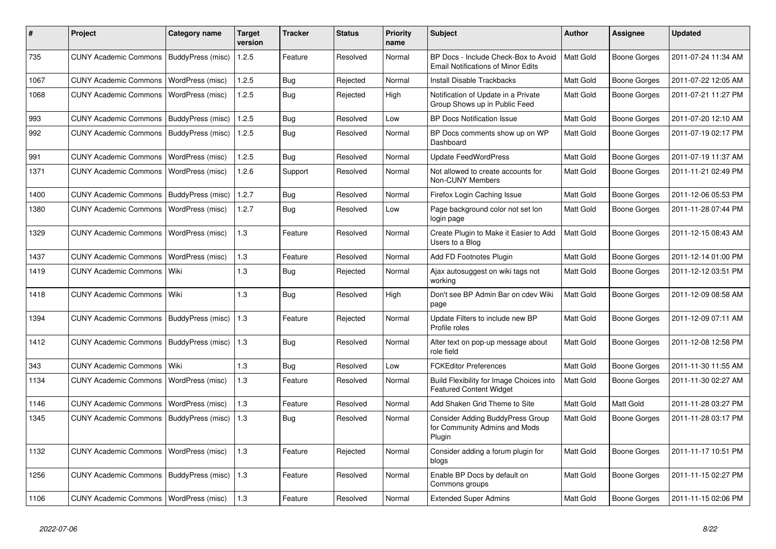| #    | Project                                   | Category name     | <b>Target</b><br>version | <b>Tracker</b> | <b>Status</b> | <b>Priority</b><br>name | <b>Subject</b>                                                                    | <b>Author</b>    | <b>Assignee</b> | <b>Updated</b>      |
|------|-------------------------------------------|-------------------|--------------------------|----------------|---------------|-------------------------|-----------------------------------------------------------------------------------|------------------|-----------------|---------------------|
| 735  | CUNY Academic Commons   BuddyPress (misc) |                   | 1.2.5                    | Feature        | Resolved      | Normal                  | BP Docs - Include Check-Box to Avoid<br><b>Email Notifications of Minor Edits</b> | <b>Matt Gold</b> | Boone Gorges    | 2011-07-24 11:34 AM |
| 1067 | CUNY Academic Commons   WordPress (misc)  |                   | 1.2.5                    | <b>Bug</b>     | Rejected      | Normal                  | Install Disable Trackbacks                                                        | Matt Gold        | Boone Gorges    | 2011-07-22 12:05 AM |
| 1068 | <b>CUNY Academic Commons</b>              | WordPress (misc)  | 1.2.5                    | Bug            | Rejected      | High                    | Notification of Update in a Private<br>Group Shows up in Public Feed              | Matt Gold        | Boone Gorges    | 2011-07-21 11:27 PM |
| 993  | <b>CUNY Academic Commons</b>              | BuddyPress (misc) | 1.2.5                    | Bug            | Resolved      | Low                     | <b>BP Docs Notification Issue</b>                                                 | Matt Gold        | Boone Gorges    | 2011-07-20 12:10 AM |
| 992  | <b>CUNY Academic Commons</b>              | BuddyPress (misc) | 1.2.5                    | Bug            | Resolved      | Normal                  | BP Docs comments show up on WP<br>Dashboard                                       | <b>Matt Gold</b> | Boone Gorges    | 2011-07-19 02:17 PM |
| 991  | <b>CUNY Academic Commons</b>              | WordPress (misc)  | 1.2.5                    | <b>Bug</b>     | Resolved      | Normal                  | <b>Update FeedWordPress</b>                                                       | <b>Matt Gold</b> | Boone Gorges    | 2011-07-19 11:37 AM |
| 1371 | <b>CUNY Academic Commons</b>              | WordPress (misc)  | 1.2.6                    | Support        | Resolved      | Normal                  | Not allowed to create accounts for<br>Non-CUNY Members                            | <b>Matt Gold</b> | Boone Gorges    | 2011-11-21 02:49 PM |
| 1400 | <b>CUNY Academic Commons</b>              | BuddyPress (misc) | 1.2.7                    | Bug            | Resolved      | Normal                  | Firefox Login Caching Issue                                                       | Matt Gold        | Boone Gorges    | 2011-12-06 05:53 PM |
| 1380 | <b>CUNY Academic Commons</b>              | WordPress (misc)  | 1.2.7                    | Bug            | Resolved      | Low                     | Page background color not set lon<br>login page                                   | Matt Gold        | Boone Gorges    | 2011-11-28 07:44 PM |
| 1329 | <b>CUNY Academic Commons</b>              | WordPress (misc)  | 1.3                      | Feature        | Resolved      | Normal                  | Create Plugin to Make it Easier to Add<br>Users to a Blog                         | Matt Gold        | Boone Gorges    | 2011-12-15 08:43 AM |
| 1437 | <b>CUNY Academic Commons</b>              | WordPress (misc)  | 1.3                      | Feature        | Resolved      | Normal                  | Add FD Footnotes Plugin                                                           | <b>Matt Gold</b> | Boone Gorges    | 2011-12-14 01:00 PM |
| 1419 | <b>CUNY Academic Commons</b>              | Wiki              | 1.3                      | Bug            | Rejected      | Normal                  | Ajax autosuggest on wiki tags not<br>working                                      | Matt Gold        | Boone Gorges    | 2011-12-12 03:51 PM |
| 1418 | <b>CUNY Academic Commons</b>              | Wiki              | 1.3                      | <b>Bug</b>     | Resolved      | High                    | Don't see BP Admin Bar on cdev Wiki<br>page                                       | Matt Gold        | Boone Gorges    | 2011-12-09 08:58 AM |
| 1394 | CUNY Academic Commons   BuddyPress (misc) |                   | 1.3                      | Feature        | Rejected      | Normal                  | Update Filters to include new BP<br>Profile roles                                 | <b>Matt Gold</b> | Boone Gorges    | 2011-12-09 07:11 AM |
| 1412 | <b>CUNY Academic Commons</b>              | BuddyPress (misc) | 1.3                      | Bug            | Resolved      | Normal                  | Alter text on pop-up message about<br>role field                                  | Matt Gold        | Boone Gorges    | 2011-12-08 12:58 PM |
| 343  | <b>CUNY Academic Commons</b>              | Wiki              | 1.3                      | Bug            | Resolved      | Low                     | <b>FCKEditor Preferences</b>                                                      | <b>Matt Gold</b> | Boone Gorges    | 2011-11-30 11:55 AM |
| 1134 | <b>CUNY Academic Commons</b>              | WordPress (misc)  | 1.3                      | Feature        | Resolved      | Normal                  | Build Flexibility for Image Choices into<br><b>Featured Content Widget</b>        | <b>Matt Gold</b> | Boone Gorges    | 2011-11-30 02:27 AM |
| 1146 | <b>CUNY Academic Commons</b>              | WordPress (misc)  | 1.3                      | Feature        | Resolved      | Normal                  | Add Shaken Grid Theme to Site                                                     | Matt Gold        | Matt Gold       | 2011-11-28 03:27 PM |
| 1345 | <b>CUNY Academic Commons</b>              | BuddyPress (misc) | 1.3                      | Bug            | Resolved      | Normal                  | Consider Adding BuddyPress Group<br>for Community Admins and Mods<br>Plugin       | Matt Gold        | Boone Gorges    | 2011-11-28 03:17 PM |
| 1132 | <b>CUNY Academic Commons</b>              | WordPress (misc)  | 1.3                      | Feature        | Rejected      | Normal                  | Consider adding a forum plugin for<br>blogs                                       | Matt Gold        | Boone Gorges    | 2011-11-17 10:51 PM |
| 1256 | <b>CUNY Academic Commons</b>              | BuddyPress (misc) | 1.3                      | Feature        | Resolved      | Normal                  | Enable BP Docs by default on<br>Commons groups                                    | <b>Matt Gold</b> | Boone Gorges    | 2011-11-15 02:27 PM |
| 1106 | CUNY Academic Commons   WordPress (misc)  |                   | 1.3                      | Feature        | Resolved      | Normal                  | <b>Extended Super Admins</b>                                                      | Matt Gold        | Boone Gorges    | 2011-11-15 02:06 PM |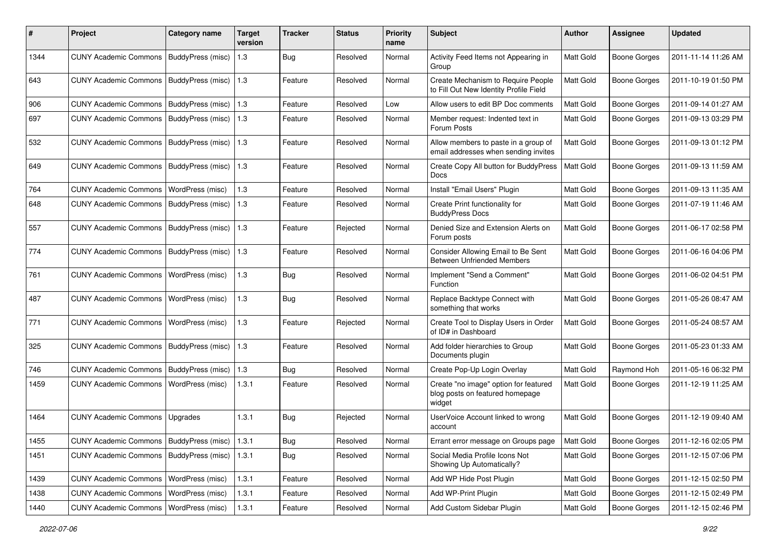| #    | Project                                           | <b>Category name</b>     | <b>Target</b><br>version | <b>Tracker</b> | <b>Status</b> | <b>Priority</b><br>name | Subject                                                                            | <b>Author</b>    | <b>Assignee</b>     | <b>Updated</b>      |
|------|---------------------------------------------------|--------------------------|--------------------------|----------------|---------------|-------------------------|------------------------------------------------------------------------------------|------------------|---------------------|---------------------|
| 1344 | <b>CUNY Academic Commons</b>                      | BuddyPress (misc)        | 1.3                      | <b>Bug</b>     | Resolved      | Normal                  | Activity Feed Items not Appearing in<br>Group                                      | Matt Gold        | <b>Boone Gorges</b> | 2011-11-14 11:26 AM |
| 643  | <b>CUNY Academic Commons</b>                      | <b>BuddyPress (misc)</b> | 1.3                      | Feature        | Resolved      | Normal                  | Create Mechanism to Require People<br>to Fill Out New Identity Profile Field       | Matt Gold        | <b>Boone Gorges</b> | 2011-10-19 01:50 PM |
| 906  | <b>CUNY Academic Commons</b>                      | BuddyPress (misc)        | 1.3                      | Feature        | Resolved      | Low                     | Allow users to edit BP Doc comments                                                | Matt Gold        | <b>Boone Gorges</b> | 2011-09-14 01:27 AM |
| 697  | <b>CUNY Academic Commons</b>                      | BuddyPress (misc)        | 1.3                      | Feature        | Resolved      | Normal                  | Member request: Indented text in<br>Forum Posts                                    | Matt Gold        | <b>Boone Gorges</b> | 2011-09-13 03:29 PM |
| 532  | <b>CUNY Academic Commons</b>                      | BuddyPress (misc)        | 1.3                      | Feature        | Resolved      | Normal                  | Allow members to paste in a group of<br>email addresses when sending invites       | Matt Gold        | <b>Boone Gorges</b> | 2011-09-13 01:12 PM |
| 649  | <b>CUNY Academic Commons</b>                      | BuddyPress (misc)        | 1.3                      | Feature        | Resolved      | Normal                  | Create Copy All button for BuddyPress<br>Docs                                      | Matt Gold        | <b>Boone Gorges</b> | 2011-09-13 11:59 AM |
| 764  | <b>CUNY Academic Commons</b>                      | WordPress (misc)         | 1.3                      | Feature        | Resolved      | Normal                  | Install "Email Users" Plugin                                                       | Matt Gold        | <b>Boone Gorges</b> | 2011-09-13 11:35 AM |
| 648  | <b>CUNY Academic Commons</b>                      | BuddyPress (misc)        | 1.3                      | Feature        | Resolved      | Normal                  | Create Print functionality for<br><b>BuddyPress Docs</b>                           | Matt Gold        | <b>Boone Gorges</b> | 2011-07-19 11:46 AM |
| 557  | <b>CUNY Academic Commons</b>                      | BuddyPress (misc)        | 1.3                      | Feature        | Rejected      | Normal                  | Denied Size and Extension Alerts on<br>Forum posts                                 | Matt Gold        | <b>Boone Gorges</b> | 2011-06-17 02:58 PM |
| 774  | <b>CUNY Academic Commons</b>                      | <b>BuddyPress (misc)</b> | 1.3                      | Feature        | Resolved      | Normal                  | Consider Allowing Email to Be Sent<br>Between Unfriended Members                   | Matt Gold        | <b>Boone Gorges</b> | 2011-06-16 04:06 PM |
| 761  | <b>CUNY Academic Commons</b>                      | WordPress (misc)         | 1.3                      | Bug            | Resolved      | Normal                  | Implement "Send a Comment"<br>Function                                             | Matt Gold        | Boone Gorges        | 2011-06-02 04:51 PM |
| 487  | <b>CUNY Academic Commons</b>                      | WordPress (misc)         | 1.3                      | Bug            | Resolved      | Normal                  | Replace Backtype Connect with<br>something that works                              | Matt Gold        | Boone Gorges        | 2011-05-26 08:47 AM |
| 771  | <b>CUNY Academic Commons</b>                      | WordPress (misc)         | 1.3                      | Feature        | Rejected      | Normal                  | Create Tool to Display Users in Order<br>of ID# in Dashboard                       | Matt Gold        | <b>Boone Gorges</b> | 2011-05-24 08:57 AM |
| 325  | <b>CUNY Academic Commons</b>                      | <b>BuddyPress (misc)</b> | 1.3                      | Feature        | Resolved      | Normal                  | Add folder hierarchies to Group<br>Documents plugin                                | Matt Gold        | <b>Boone Gorges</b> | 2011-05-23 01:33 AM |
| 746  | <b>CUNY Academic Commons</b>                      | BuddyPress (misc)        | 1.3                      | Bug            | Resolved      | Normal                  | Create Pop-Up Login Overlay                                                        | Matt Gold        | Raymond Hoh         | 2011-05-16 06:32 PM |
| 1459 | <b>CUNY Academic Commons</b>                      | WordPress (misc)         | 1.3.1                    | Feature        | Resolved      | Normal                  | Create "no image" option for featured<br>blog posts on featured homepage<br>widget | Matt Gold        | <b>Boone Gorges</b> | 2011-12-19 11:25 AM |
| 1464 | <b>CUNY Academic Commons</b>                      | Upgrades                 | 1.3.1                    | Bug            | Rejected      | Normal                  | UserVoice Account linked to wrong<br>account                                       | Matt Gold        | <b>Boone Gorges</b> | 2011-12-19 09:40 AM |
| 1455 | CUNY Academic Commons   BuddyPress (misc)   1.3.1 |                          |                          | Bug            | Resolved      | Normal                  | Errant error message on Groups page                                                | Matt Gold        | Boone Gorges        | 2011-12-16 02:05 PM |
| 1451 | CUNY Academic Commons                             | BuddyPress (misc)        | 1.3.1                    | Bug            | Resolved      | Normal                  | Social Media Profile Icons Not<br>Showing Up Automatically?                        | <b>Matt Gold</b> | <b>Boone Gorges</b> | 2011-12-15 07:06 PM |
| 1439 | <b>CUNY Academic Commons</b>                      | WordPress (misc)         | 1.3.1                    | Feature        | Resolved      | Normal                  | Add WP Hide Post Plugin                                                            | Matt Gold        | Boone Gorges        | 2011-12-15 02:50 PM |
| 1438 | <b>CUNY Academic Commons</b>                      | WordPress (misc)         | 1.3.1                    | Feature        | Resolved      | Normal                  | Add WP-Print Plugin                                                                | Matt Gold        | Boone Gorges        | 2011-12-15 02:49 PM |
| 1440 | <b>CUNY Academic Commons</b>                      | WordPress (misc)         | 1.3.1                    | Feature        | Resolved      | Normal                  | Add Custom Sidebar Plugin                                                          | Matt Gold        | <b>Boone Gorges</b> | 2011-12-15 02:46 PM |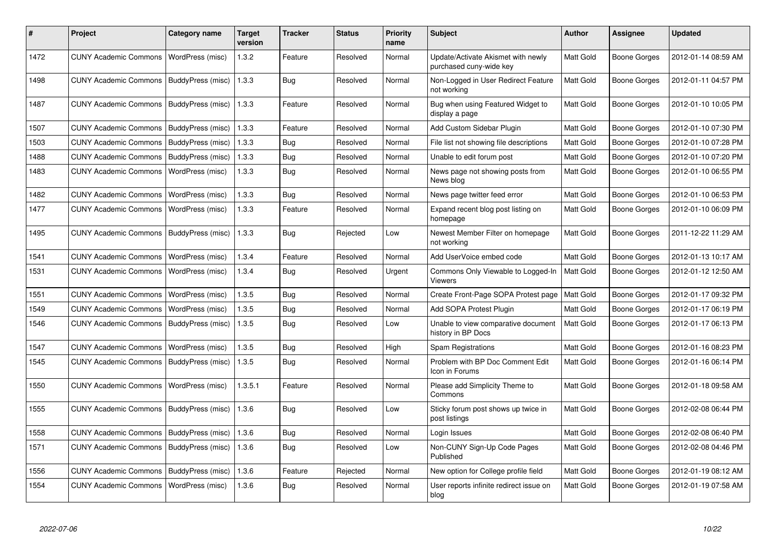| #    | <b>Project</b>                            | Category name     | <b>Target</b><br>version | <b>Tracker</b> | <b>Status</b> | <b>Priority</b><br>name | <b>Subject</b>                                                | <b>Author</b>    | Assignee            | <b>Updated</b>      |
|------|-------------------------------------------|-------------------|--------------------------|----------------|---------------|-------------------------|---------------------------------------------------------------|------------------|---------------------|---------------------|
| 1472 | <b>CUNY Academic Commons</b>              | WordPress (misc)  | 1.3.2                    | Feature        | Resolved      | Normal                  | Update/Activate Akismet with newly<br>purchased cuny-wide key | Matt Gold        | <b>Boone Gorges</b> | 2012-01-14 08:59 AM |
| 1498 | CUNY Academic Commons   BuddyPress (misc) |                   | 1.3.3                    | Bug            | Resolved      | Normal                  | Non-Logged in User Redirect Feature<br>not working            | Matt Gold        | Boone Gorges        | 2012-01-11 04:57 PM |
| 1487 | <b>CUNY Academic Commons</b>              | BuddyPress (misc) | 1.3.3                    | Feature        | Resolved      | Normal                  | Bug when using Featured Widget to<br>display a page           | Matt Gold        | <b>Boone Gorges</b> | 2012-01-10 10:05 PM |
| 1507 | <b>CUNY Academic Commons</b>              | BuddyPress (misc) | 1.3.3                    | Feature        | Resolved      | Normal                  | Add Custom Sidebar Plugin                                     | Matt Gold        | Boone Gorges        | 2012-01-10 07:30 PM |
| 1503 | <b>CUNY Academic Commons</b>              | BuddyPress (misc) | 1.3.3                    | <b>Bug</b>     | Resolved      | Normal                  | File list not showing file descriptions                       | Matt Gold        | <b>Boone Gorges</b> | 2012-01-10 07:28 PM |
| 1488 | CUNY Academic Commons   BuddyPress (misc) |                   | 1.3.3                    | <b>Bug</b>     | Resolved      | Normal                  | Unable to edit forum post                                     | Matt Gold        | Boone Gorges        | 2012-01-10 07:20 PM |
| 1483 | <b>CUNY Academic Commons</b>              | WordPress (misc)  | 1.3.3                    | Bug            | Resolved      | Normal                  | News page not showing posts from<br>News blog                 | Matt Gold        | Boone Gorges        | 2012-01-10 06:55 PM |
| 1482 | <b>CUNY Academic Commons</b>              | WordPress (misc)  | 1.3.3                    | <b>Bug</b>     | Resolved      | Normal                  | News page twitter feed error                                  | Matt Gold        | <b>Boone Gorges</b> | 2012-01-10 06:53 PM |
| 1477 | <b>CUNY Academic Commons</b>              | WordPress (misc)  | 1.3.3                    | Feature        | Resolved      | Normal                  | Expand recent blog post listing on<br>homepage                | Matt Gold        | Boone Gorges        | 2012-01-10 06:09 PM |
| 1495 | <b>CUNY Academic Commons</b>              | BuddyPress (misc) | 1.3.3                    | <b>Bug</b>     | Rejected      | Low                     | Newest Member Filter on homepage<br>not working               | Matt Gold        | <b>Boone Gorges</b> | 2011-12-22 11:29 AM |
| 1541 | <b>CUNY Academic Commons</b>              | WordPress (misc)  | 1.3.4                    | Feature        | Resolved      | Normal                  | Add UserVoice embed code                                      | Matt Gold        | <b>Boone Gorges</b> | 2012-01-13 10:17 AM |
| 1531 | <b>CUNY Academic Commons</b>              | WordPress (misc)  | 1.3.4                    | <b>Bug</b>     | Resolved      | Urgent                  | Commons Only Viewable to Logged-In<br>Viewers                 | Matt Gold        | <b>Boone Gorges</b> | 2012-01-12 12:50 AM |
| 1551 | <b>CUNY Academic Commons</b>              | WordPress (misc)  | 1.3.5                    | <b>Bug</b>     | Resolved      | Normal                  | Create Front-Page SOPA Protest page                           | Matt Gold        | Boone Gorges        | 2012-01-17 09:32 PM |
| 1549 | <b>CUNY Academic Commons</b>              | WordPress (misc)  | 1.3.5                    | Bug            | Resolved      | Normal                  | Add SOPA Protest Plugin                                       | Matt Gold        | <b>Boone Gorges</b> | 2012-01-17 06:19 PM |
| 1546 | <b>CUNY Academic Commons</b>              | BuddyPress (misc) | 1.3.5                    | Bug            | Resolved      | Low                     | Unable to view comparative document<br>history in BP Docs     | <b>Matt Gold</b> | Boone Gorges        | 2012-01-17 06:13 PM |
| 1547 | <b>CUNY Academic Commons</b>              | WordPress (misc)  | 1.3.5                    | <b>Bug</b>     | Resolved      | High                    | <b>Spam Registrations</b>                                     | Matt Gold        | Boone Gorges        | 2012-01-16 08:23 PM |
| 1545 | <b>CUNY Academic Commons</b>              | BuddyPress (misc) | 1.3.5                    | Bug            | Resolved      | Normal                  | Problem with BP Doc Comment Edit<br>Icon in Forums            | Matt Gold        | Boone Gorges        | 2012-01-16 06:14 PM |
| 1550 | <b>CUNY Academic Commons</b>              | WordPress (misc)  | 1.3.5.1                  | Feature        | Resolved      | Normal                  | Please add Simplicity Theme to<br>Commons                     | Matt Gold        | Boone Gorges        | 2012-01-18 09:58 AM |
| 1555 | <b>CUNY Academic Commons</b>              | BuddyPress (misc) | 1.3.6                    | <b>Bug</b>     | Resolved      | Low                     | Sticky forum post shows up twice in<br>post listings          | Matt Gold        | <b>Boone Gorges</b> | 2012-02-08 06:44 PM |
| 1558 | <b>CUNY Academic Commons</b>              | BuddyPress (misc) | 1.3.6                    | Bug            | Resolved      | Normal                  | Login Issues                                                  | Matt Gold        | Boone Gorges        | 2012-02-08 06:40 PM |
| 1571 | <b>CUNY Academic Commons</b>              | BuddyPress (misc) | 1.3.6                    | Bug            | Resolved      | Low                     | Non-CUNY Sign-Up Code Pages<br>Published                      | Matt Gold        | <b>Boone Gorges</b> | 2012-02-08 04:46 PM |
| 1556 | <b>CUNY Academic Commons</b>              | BuddyPress (misc) | 1.3.6                    | Feature        | Rejected      | Normal                  | New option for College profile field                          | Matt Gold        | Boone Gorges        | 2012-01-19 08:12 AM |
| 1554 | <b>CUNY Academic Commons</b>              | WordPress (misc)  | 1.3.6                    | Bug            | Resolved      | Normal                  | User reports infinite redirect issue on<br>blog               | Matt Gold        | <b>Boone Gorges</b> | 2012-01-19 07:58 AM |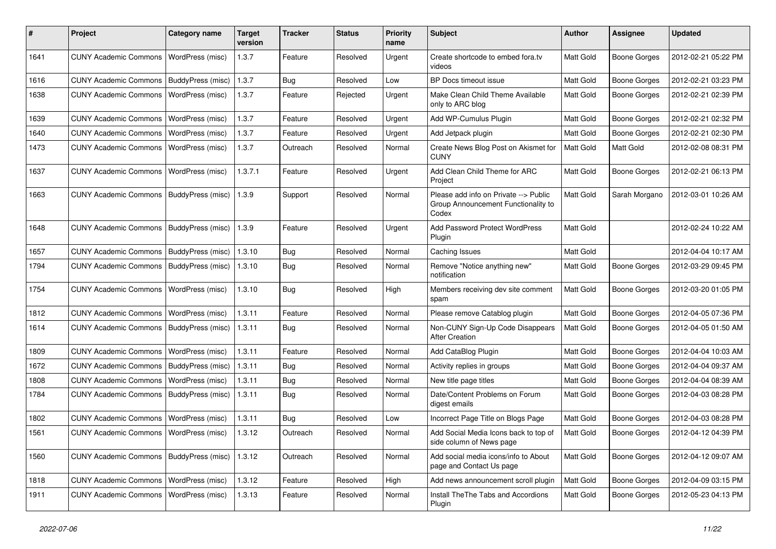| ∦    | Project                                  | Category name            | <b>Target</b><br>version | Tracker    | <b>Status</b> | <b>Priority</b><br>name | Subject                                                                               | <b>Author</b>    | Assignee            | <b>Updated</b>      |
|------|------------------------------------------|--------------------------|--------------------------|------------|---------------|-------------------------|---------------------------------------------------------------------------------------|------------------|---------------------|---------------------|
| 1641 | <b>CUNY Academic Commons</b>             | WordPress (misc)         | 1.3.7                    | Feature    | Resolved      | Urgent                  | Create shortcode to embed fora.tv<br>videos                                           | Matt Gold        | <b>Boone Gorges</b> | 2012-02-21 05:22 PM |
| 1616 | <b>CUNY Academic Commons</b>             | BuddyPress (misc)        | 1.3.7                    | Bug        | Resolved      | Low                     | BP Docs timeout issue                                                                 | Matt Gold        | <b>Boone Gorges</b> | 2012-02-21 03:23 PM |
| 1638 | <b>CUNY Academic Commons</b>             | <b>WordPress (misc)</b>  | 1.3.7                    | Feature    | Rejected      | Urgent                  | Make Clean Child Theme Available<br>only to ARC blog                                  | Matt Gold        | <b>Boone Gorges</b> | 2012-02-21 02:39 PM |
| 1639 | <b>CUNY Academic Commons</b>             | <b>WordPress (misc)</b>  | 1.3.7                    | Feature    | Resolved      | Urgent                  | Add WP-Cumulus Plugin                                                                 | Matt Gold        | <b>Boone Gorges</b> | 2012-02-21 02:32 PM |
| 1640 | <b>CUNY Academic Commons</b>             | WordPress (misc)         | 1.3.7                    | Feature    | Resolved      | Urgent                  | Add Jetpack plugin                                                                    | Matt Gold        | <b>Boone Gorges</b> | 2012-02-21 02:30 PM |
| 1473 | <b>CUNY Academic Commons</b>             | WordPress (misc)         | 1.3.7                    | Outreach   | Resolved      | Normal                  | Create News Blog Post on Akismet for<br><b>CUNY</b>                                   | Matt Gold        | Matt Gold           | 2012-02-08 08:31 PM |
| 1637 | <b>CUNY Academic Commons</b>             | WordPress (misc)         | 1.3.7.1                  | Feature    | Resolved      | Urgent                  | Add Clean Child Theme for ARC<br>Project                                              | Matt Gold        | Boone Gorges        | 2012-02-21 06:13 PM |
| 1663 | <b>CUNY Academic Commons</b>             | <b>BuddyPress (misc)</b> | 1.3.9                    | Support    | Resolved      | Normal                  | Please add info on Private --> Public<br>Group Announcement Functionality to<br>Codex | Matt Gold        | Sarah Morgano       | 2012-03-01 10:26 AM |
| 1648 | <b>CUNY Academic Commons</b>             | BuddyPress (misc)        | 1.3.9                    | Feature    | Resolved      | Urgent                  | <b>Add Password Protect WordPress</b><br>Plugin                                       | Matt Gold        |                     | 2012-02-24 10:22 AM |
| 1657 | <b>CUNY Academic Commons</b>             | BuddyPress (misc)        | 1.3.10                   | <b>Bug</b> | Resolved      | Normal                  | Caching Issues                                                                        | Matt Gold        |                     | 2012-04-04 10:17 AM |
| 1794 | <b>CUNY Academic Commons</b>             | BuddyPress (misc)        | 1.3.10                   | <b>Bug</b> | Resolved      | Normal                  | Remove "Notice anything new"<br>notification                                          | Matt Gold        | Boone Gorges        | 2012-03-29 09:45 PM |
| 1754 | <b>CUNY Academic Commons</b>             | WordPress (misc)         | 1.3.10                   | <b>Bug</b> | Resolved      | High                    | Members receiving dev site comment<br>spam                                            | Matt Gold        | Boone Gorges        | 2012-03-20 01:05 PM |
| 1812 | <b>CUNY Academic Commons</b>             | WordPress (misc)         | 1.3.11                   | Feature    | Resolved      | Normal                  | Please remove Catablog plugin                                                         | Matt Gold        | <b>Boone Gorges</b> | 2012-04-05 07:36 PM |
| 1614 | <b>CUNY Academic Commons</b>             | BuddyPress (misc)        | 1.3.11                   | <b>Bug</b> | Resolved      | Normal                  | Non-CUNY Sign-Up Code Disappears<br><b>After Creation</b>                             | <b>Matt Gold</b> | Boone Gorges        | 2012-04-05 01:50 AM |
| 1809 | <b>CUNY Academic Commons</b>             | WordPress (misc)         | 1.3.11                   | Feature    | Resolved      | Normal                  | Add CataBlog Plugin                                                                   | Matt Gold        | <b>Boone Gorges</b> | 2012-04-04 10:03 AM |
| 1672 | <b>CUNY Academic Commons</b>             | BuddyPress (misc)        | 1.3.11                   | Bug        | Resolved      | Normal                  | Activity replies in groups                                                            | Matt Gold        | <b>Boone Gorges</b> | 2012-04-04 09:37 AM |
| 1808 | <b>CUNY Academic Commons</b>             | WordPress (misc)         | 1.3.11                   | <b>Bug</b> | Resolved      | Normal                  | New title page titles                                                                 | Matt Gold        | <b>Boone Gorges</b> | 2012-04-04 08:39 AM |
| 1784 | <b>CUNY Academic Commons</b>             | BuddyPress (misc)        | 1.3.11                   | <b>Bug</b> | Resolved      | Normal                  | Date/Content Problems on Forum<br>digest emails                                       | Matt Gold        | <b>Boone Gorges</b> | 2012-04-03 08:28 PM |
| 1802 | <b>CUNY Academic Commons</b>             | WordPress (misc)         | 1.3.11                   | <b>Bug</b> | Resolved      | Low                     | Incorrect Page Title on Blogs Page                                                    | Matt Gold        | Boone Gorges        | 2012-04-03 08:28 PM |
| 1561 | CUNY Academic Commons   WordPress (misc) |                          | 1.3.12                   | Outreach   | Resolved      | Normal                  | Add Social Media Icons back to top of<br>side column of News page                     | Matt Gold        | <b>Boone Gorges</b> | 2012-04-12 04:39 PM |
| 1560 | <b>CUNY Academic Commons</b>             | BuddyPress (misc)        | 1.3.12                   | Outreach   | Resolved      | Normal                  | Add social media icons/info to About<br>page and Contact Us page                      | Matt Gold        | Boone Gorges        | 2012-04-12 09:07 AM |
| 1818 | <b>CUNY Academic Commons</b>             | WordPress (misc)         | 1.3.12                   | Feature    | Resolved      | High                    | Add news announcement scroll plugin                                                   | Matt Gold        | Boone Gorges        | 2012-04-09 03:15 PM |
| 1911 | <b>CUNY Academic Commons</b>             | WordPress (misc)         | 1.3.13                   | Feature    | Resolved      | Normal                  | Install The The Tabs and Accordions<br>Plugin                                         | Matt Gold        | Boone Gorges        | 2012-05-23 04:13 PM |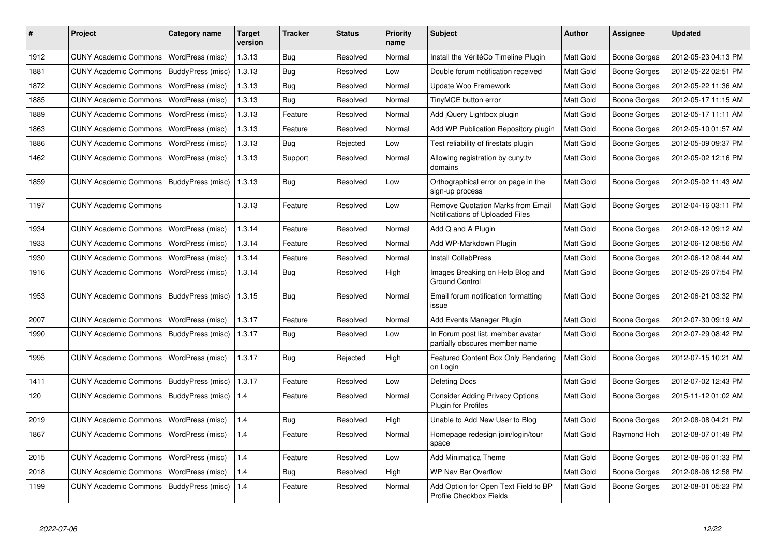| ∦    | Project                      | Category name     | <b>Target</b><br>version | <b>Tracker</b> | <b>Status</b> | Priority<br>name | <b>Subject</b>                                                       | <b>Author</b>    | <b>Assignee</b>     | <b>Updated</b>      |
|------|------------------------------|-------------------|--------------------------|----------------|---------------|------------------|----------------------------------------------------------------------|------------------|---------------------|---------------------|
| 1912 | <b>CUNY Academic Commons</b> | WordPress (misc)  | 1.3.13                   | Bug            | Resolved      | Normal           | Install the VéritéCo Timeline Plugin                                 | Matt Gold        | Boone Gorges        | 2012-05-23 04:13 PM |
| 1881 | <b>CUNY Academic Commons</b> | BuddyPress (misc) | 1.3.13                   | Bug            | Resolved      | Low              | Double forum notification received                                   | <b>Matt Gold</b> | <b>Boone Gorges</b> | 2012-05-22 02:51 PM |
| 1872 | <b>CUNY Academic Commons</b> | WordPress (misc)  | 1.3.13                   | <b>Bug</b>     | Resolved      | Normal           | Update Woo Framework                                                 | Matt Gold        | <b>Boone Gorges</b> | 2012-05-22 11:36 AM |
| 1885 | <b>CUNY Academic Commons</b> | WordPress (misc)  | 1.3.13                   | <b>Bug</b>     | Resolved      | Normal           | TinyMCE button error                                                 | Matt Gold        | Boone Gorges        | 2012-05-17 11:15 AM |
| 1889 | <b>CUNY Academic Commons</b> | WordPress (misc)  | 1.3.13                   | Feature        | Resolved      | Normal           | Add jQuery Lightbox plugin                                           | Matt Gold        | Boone Gorges        | 2012-05-17 11:11 AM |
| 1863 | <b>CUNY Academic Commons</b> | WordPress (misc)  | 1.3.13                   | Feature        | Resolved      | Normal           | Add WP Publication Repository plugin                                 | Matt Gold        | Boone Gorges        | 2012-05-10 01:57 AM |
| 1886 | <b>CUNY Academic Commons</b> | WordPress (misc)  | 1.3.13                   | <b>Bug</b>     | Rejected      | Low              | Test reliability of firestats plugin                                 | <b>Matt Gold</b> | <b>Boone Gorges</b> | 2012-05-09 09:37 PM |
| 1462 | <b>CUNY Academic Commons</b> | WordPress (misc)  | 1.3.13                   | Support        | Resolved      | Normal           | Allowing registration by cuny.tv<br>domains                          | <b>Matt Gold</b> | Boone Gorges        | 2012-05-02 12:16 PM |
| 1859 | <b>CUNY Academic Commons</b> | BuddyPress (misc) | 1.3.13                   | Bug            | Resolved      | Low              | Orthographical error on page in the<br>sign-up process               | <b>Matt Gold</b> | Boone Gorges        | 2012-05-02 11:43 AM |
| 1197 | <b>CUNY Academic Commons</b> |                   | 1.3.13                   | Feature        | Resolved      | Low              | Remove Quotation Marks from Email<br>Notifications of Uploaded Files | <b>Matt Gold</b> | Boone Gorges        | 2012-04-16 03:11 PM |
| 1934 | <b>CUNY Academic Commons</b> | WordPress (misc)  | 1.3.14                   | Feature        | Resolved      | Normal           | Add Q and A Plugin                                                   | Matt Gold        | Boone Gorges        | 2012-06-12 09:12 AM |
| 1933 | <b>CUNY Academic Commons</b> | WordPress (misc)  | 1.3.14                   | Feature        | Resolved      | Normal           | Add WP-Markdown Plugin                                               | Matt Gold        | Boone Gorges        | 2012-06-12 08:56 AM |
| 1930 | <b>CUNY Academic Commons</b> | WordPress (misc)  | 1.3.14                   | Feature        | Resolved      | Normal           | <b>Install CollabPress</b>                                           | Matt Gold        | <b>Boone Gorges</b> | 2012-06-12 08:44 AM |
| 1916 | <b>CUNY Academic Commons</b> | WordPress (misc)  | 1.3.14                   | Bug            | Resolved      | High             | Images Breaking on Help Blog and<br><b>Ground Control</b>            | <b>Matt Gold</b> | Boone Gorges        | 2012-05-26 07:54 PM |
| 1953 | <b>CUNY Academic Commons</b> | BuddyPress (misc) | 1.3.15                   | <b>Bug</b>     | Resolved      | Normal           | Email forum notification formatting<br>issue                         | <b>Matt Gold</b> | Boone Gorges        | 2012-06-21 03:32 PM |
| 2007 | <b>CUNY Academic Commons</b> | WordPress (misc)  | 1.3.17                   | Feature        | Resolved      | Normal           | Add Events Manager Plugin                                            | Matt Gold        | <b>Boone Gorges</b> | 2012-07-30 09:19 AM |
| 1990 | <b>CUNY Academic Commons</b> | BuddyPress (misc) | 1.3.17                   | Bug            | Resolved      | Low              | In Forum post list, member avatar<br>partially obscures member name  | <b>Matt Gold</b> | <b>Boone Gorges</b> | 2012-07-29 08:42 PM |
| 1995 | <b>CUNY Academic Commons</b> | WordPress (misc)  | 1.3.17                   | Bug            | Rejected      | High             | Featured Content Box Only Rendering<br>on Login                      | <b>Matt Gold</b> | Boone Gorges        | 2012-07-15 10:21 AM |
| 1411 | <b>CUNY Academic Commons</b> | BuddyPress (misc) | 1.3.17                   | Feature        | Resolved      | Low              | <b>Deleting Docs</b>                                                 | Matt Gold        | Boone Gorges        | 2012-07-02 12:43 PM |
| 120  | <b>CUNY Academic Commons</b> | BuddyPress (misc) | 1.4                      | Feature        | Resolved      | Normal           | <b>Consider Adding Privacy Options</b><br>Plugin for Profiles        | Matt Gold        | Boone Gorges        | 2015-11-12 01:02 AM |
| 2019 | <b>CUNY Academic Commons</b> | WordPress (misc)  | 1.4                      | Bug            | Resolved      | High             | Unable to Add New User to Blog                                       | Matt Gold        | Boone Gorges        | 2012-08-08 04:21 PM |
| 1867 | <b>CUNY Academic Commons</b> | WordPress (misc)  | 1.4                      | Feature        | Resolved      | Normal           | Homepage redesign join/login/tour<br>space                           | Matt Gold        | Raymond Hoh         | 2012-08-07 01:49 PM |
| 2015 | <b>CUNY Academic Commons</b> | WordPress (misc)  | 1.4                      | Feature        | Resolved      | Low              | <b>Add Minimatica Theme</b>                                          | <b>Matt Gold</b> | Boone Gorges        | 2012-08-06 01:33 PM |
| 2018 | <b>CUNY Academic Commons</b> | WordPress (misc)  | 1.4                      | <b>Bug</b>     | Resolved      | High             | <b>WP Nav Bar Overflow</b>                                           | <b>Matt Gold</b> | Boone Gorges        | 2012-08-06 12:58 PM |
| 1199 | <b>CUNY Academic Commons</b> | BuddyPress (misc) | 1.4                      | Feature        | Resolved      | Normal           | Add Option for Open Text Field to BP<br>Profile Checkbox Fields      | Matt Gold        | <b>Boone Gorges</b> | 2012-08-01 05:23 PM |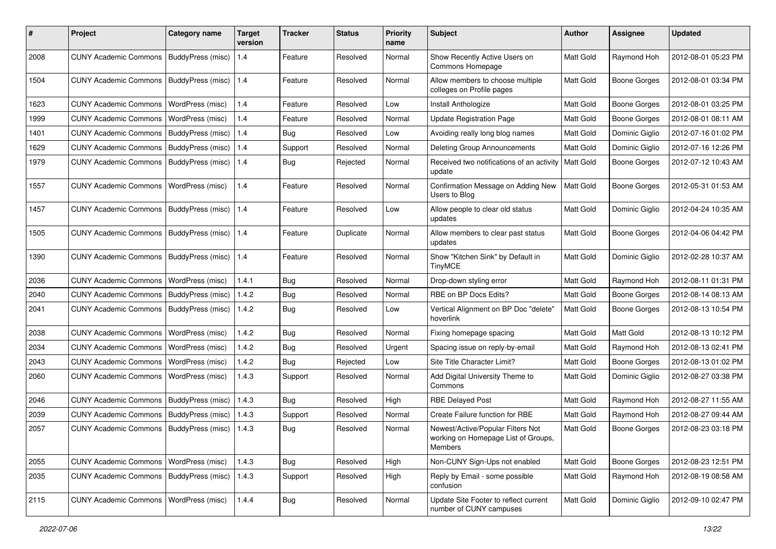| #    | Project                                   | Category name            | <b>Target</b><br>version | <b>Tracker</b> | <b>Status</b> | <b>Priority</b><br>name | Subject                                                                             | <b>Author</b>    | Assignee            | <b>Updated</b>      |
|------|-------------------------------------------|--------------------------|--------------------------|----------------|---------------|-------------------------|-------------------------------------------------------------------------------------|------------------|---------------------|---------------------|
| 2008 | <b>CUNY Academic Commons</b>              | BuddyPress (misc)        | 1.4                      | Feature        | Resolved      | Normal                  | Show Recently Active Users on<br>Commons Homepage                                   | Matt Gold        | Raymond Hoh         | 2012-08-01 05:23 PM |
| 1504 | <b>CUNY Academic Commons</b>              | BuddyPress (misc)        | 1.4                      | Feature        | Resolved      | Normal                  | Allow members to choose multiple<br>colleges on Profile pages                       | <b>Matt Gold</b> | <b>Boone Gorges</b> | 2012-08-01 03:34 PM |
| 1623 | <b>CUNY Academic Commons</b>              | WordPress (misc)         | 1.4                      | Feature        | Resolved      | Low                     | Install Anthologize                                                                 | Matt Gold        | <b>Boone Gorges</b> | 2012-08-01 03:25 PM |
| 1999 | <b>CUNY Academic Commons</b>              | WordPress (misc)         | 1.4                      | Feature        | Resolved      | Normal                  | <b>Update Registration Page</b>                                                     | Matt Gold        | Boone Gorges        | 2012-08-01 08:11 AM |
| 1401 | <b>CUNY Academic Commons</b>              | <b>BuddyPress</b> (misc) | 1.4                      | Bug            | Resolved      | Low                     | Avoiding really long blog names                                                     | Matt Gold        | Dominic Giglio      | 2012-07-16 01:02 PM |
| 1629 | <b>CUNY Academic Commons</b>              | BuddyPress (misc)        | 1.4                      | Support        | Resolved      | Normal                  | Deleting Group Announcements                                                        | Matt Gold        | Dominic Giglio      | 2012-07-16 12:26 PM |
| 1979 | <b>CUNY Academic Commons</b>              | BuddyPress (misc)        | 1.4                      | Bug            | Rejected      | Normal                  | Received two notifications of an activity<br>update                                 | <b>Matt Gold</b> | Boone Gorges        | 2012-07-12 10:43 AM |
| 1557 | <b>CUNY Academic Commons</b>              | WordPress (misc)         | 1.4                      | Feature        | Resolved      | Normal                  | Confirmation Message on Adding New<br>Users to Blog                                 | Matt Gold        | Boone Gorges        | 2012-05-31 01:53 AM |
| 1457 | <b>CUNY Academic Commons</b>              | BuddyPress (misc)        | 1.4                      | Feature        | Resolved      | Low                     | Allow people to clear old status<br>updates                                         | Matt Gold        | Dominic Giglio      | 2012-04-24 10:35 AM |
| 1505 | CUNY Academic Commons   BuddyPress (misc) |                          | 1.4                      | Feature        | Duplicate     | Normal                  | Allow members to clear past status<br>updates                                       | Matt Gold        | Boone Gorges        | 2012-04-06 04:42 PM |
| 1390 | <b>CUNY Academic Commons</b>              | BuddyPress (misc)        | 1.4                      | Feature        | Resolved      | Normal                  | Show "Kitchen Sink" by Default in<br>TinyMCE                                        | Matt Gold        | Dominic Giglio      | 2012-02-28 10:37 AM |
| 2036 | <b>CUNY Academic Commons</b>              | WordPress (misc)         | 1.4.1                    | Bug            | Resolved      | Normal                  | Drop-down styling error                                                             | Matt Gold        | Raymond Hoh         | 2012-08-11 01:31 PM |
| 2040 | <b>CUNY Academic Commons</b>              | <b>BuddyPress (misc)</b> | 1.4.2                    | Bug            | Resolved      | Normal                  | RBE on BP Docs Edits?                                                               | Matt Gold        | Boone Gorges        | 2012-08-14 08:13 AM |
| 2041 | <b>CUNY Academic Commons</b>              | BuddyPress (misc)        | 1.4.2                    | Bug            | Resolved      | Low                     | Vertical Alignment on BP Doc "delete"<br>hoverlink                                  | Matt Gold        | Boone Gorges        | 2012-08-13 10:54 PM |
| 2038 | <b>CUNY Academic Commons</b>              | WordPress (misc)         | 1.4.2                    | Bug            | Resolved      | Normal                  | Fixing homepage spacing                                                             | Matt Gold        | Matt Gold           | 2012-08-13 10:12 PM |
| 2034 | <b>CUNY Academic Commons</b>              | WordPress (misc)         | 1.4.2                    | Bug            | Resolved      | Urgent                  | Spacing issue on reply-by-email                                                     | Matt Gold        | Raymond Hoh         | 2012-08-13 02:41 PM |
| 2043 | <b>CUNY Academic Commons</b>              | WordPress (misc)         | 1.4.2                    | Bug            | Rejected      | Low                     | Site Title Character Limit?                                                         | Matt Gold        | Boone Gorges        | 2012-08-13 01:02 PM |
| 2060 | <b>CUNY Academic Commons</b>              | WordPress (misc)         | 1.4.3                    | Support        | Resolved      | Normal                  | Add Digital University Theme to<br>Commons                                          | <b>Matt Gold</b> | Dominic Giglio      | 2012-08-27 03:38 PM |
| 2046 | <b>CUNY Academic Commons</b>              | BuddyPress (misc)        | 1.4.3                    | Bug            | Resolved      | High                    | <b>RBE Delayed Post</b>                                                             | Matt Gold        | Raymond Hoh         | 2012-08-27 11:55 AM |
| 2039 | <b>CUNY Academic Commons</b>              | BuddyPress (misc)        | 1.4.3                    | Support        | Resolved      | Normal                  | Create Failure function for RBE                                                     | Matt Gold        | Raymond Hoh         | 2012-08-27 09:44 AM |
| 2057 | CUNY Academic Commons   BuddyPress (misc) |                          | 1.4.3                    | Bug            | Resolved      | Normal                  | Newest/Active/Popular Filters Not<br>working on Homepage List of Groups,<br>Members | Matt Gold        | <b>Boone Gorges</b> | 2012-08-23 03:18 PM |
| 2055 | CUNY Academic Commons   WordPress (misc)  |                          | 1.4.3                    | Bug            | Resolved      | High                    | Non-CUNY Sign-Ups not enabled                                                       | Matt Gold        | Boone Gorges        | 2012-08-23 12:51 PM |
| 2035 | CUNY Academic Commons   BuddyPress (misc) |                          | 1.4.3                    | Support        | Resolved      | High                    | Reply by Email - some possible<br>confusion                                         | Matt Gold        | Raymond Hoh         | 2012-08-19 08:58 AM |
| 2115 | CUNY Academic Commons   WordPress (misc)  |                          | 1.4.4                    | <b>Bug</b>     | Resolved      | Normal                  | Update Site Footer to reflect current<br>number of CUNY campuses                    | Matt Gold        | Dominic Giglio      | 2012-09-10 02:47 PM |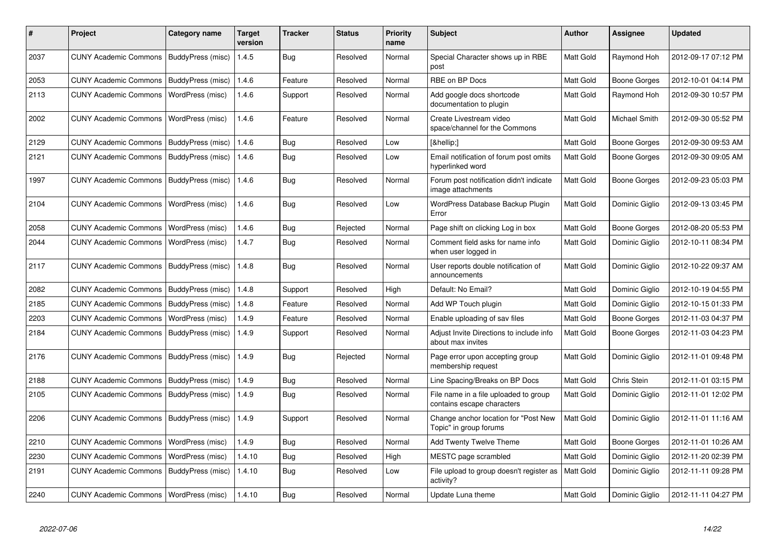| #    | <b>Project</b>                           | Category name            | <b>Target</b><br>version | <b>Tracker</b> | <b>Status</b> | <b>Priority</b><br>name | <b>Subject</b>                                                      | Author           | Assignee       | <b>Updated</b>      |
|------|------------------------------------------|--------------------------|--------------------------|----------------|---------------|-------------------------|---------------------------------------------------------------------|------------------|----------------|---------------------|
| 2037 | CUNY Academic Commons                    | BuddyPress (misc)        | 1.4.5                    | <b>Bug</b>     | Resolved      | Normal                  | Special Character shows up in RBE<br>post                           | Matt Gold        | Raymond Hoh    | 2012-09-17 07:12 PM |
| 2053 | <b>CUNY Academic Commons</b>             | BuddyPress (misc)        | 1.4.6                    | Feature        | Resolved      | Normal                  | RBE on BP Docs                                                      | Matt Gold        | Boone Gorges   | 2012-10-01 04:14 PM |
| 2113 | <b>CUNY Academic Commons</b>             | WordPress (misc)         | 1.4.6                    | Support        | Resolved      | Normal                  | Add google docs shortcode<br>documentation to plugin                | Matt Gold        | Raymond Hoh    | 2012-09-30 10:57 PM |
| 2002 | <b>CUNY Academic Commons</b>             | WordPress (misc)         | 1.4.6                    | Feature        | Resolved      | Normal                  | Create Livestream video<br>space/channel for the Commons            | Matt Gold        | Michael Smith  | 2012-09-30 05:52 PM |
| 2129 | <b>CUNY Academic Commons</b>             | BuddyPress (misc)        | 1.4.6                    | <b>Bug</b>     | Resolved      | Low                     | […]                                                                 | Matt Gold        | Boone Gorges   | 2012-09-30 09:53 AM |
| 2121 | <b>CUNY Academic Commons</b>             | BuddyPress (misc)        | 1.4.6                    | Bug            | Resolved      | Low                     | Email notification of forum post omits<br>hyperlinked word          | Matt Gold        | Boone Gorges   | 2012-09-30 09:05 AM |
| 1997 | <b>CUNY Academic Commons</b>             | BuddyPress (misc)        | 1.4.6                    | Bug            | Resolved      | Normal                  | Forum post notification didn't indicate<br>image attachments        | Matt Gold        | Boone Gorges   | 2012-09-23 05:03 PM |
| 2104 | <b>CUNY Academic Commons</b>             | WordPress (misc)         | 1.4.6                    | Bug            | Resolved      | Low                     | WordPress Database Backup Plugin<br>Error                           | Matt Gold        | Dominic Giglio | 2012-09-13 03:45 PM |
| 2058 | <b>CUNY Academic Commons</b>             | WordPress (misc)         | 1.4.6                    | Bug            | Rejected      | Normal                  | Page shift on clicking Log in box                                   | Matt Gold        | Boone Gorges   | 2012-08-20 05:53 PM |
| 2044 | <b>CUNY Academic Commons</b>             | WordPress (misc)         | 1.4.7                    | <b>Bug</b>     | Resolved      | Normal                  | Comment field asks for name info<br>when user logged in             | Matt Gold        | Dominic Giglio | 2012-10-11 08:34 PM |
| 2117 | <b>CUNY Academic Commons</b>             | BuddyPress (misc)        | 1.4.8                    | Bug            | Resolved      | Normal                  | User reports double notification of<br>announcements                | <b>Matt Gold</b> | Dominic Giglio | 2012-10-22 09:37 AM |
| 2082 | <b>CUNY Academic Commons</b>             | <b>BuddyPress (misc)</b> | 1.4.8                    | Support        | Resolved      | High                    | Default: No Email?                                                  | Matt Gold        | Dominic Giglio | 2012-10-19 04:55 PM |
| 2185 | <b>CUNY Academic Commons</b>             | BuddyPress (misc)        | 1.4.8                    | Feature        | Resolved      | Normal                  | Add WP Touch plugin                                                 | Matt Gold        | Dominic Giglio | 2012-10-15 01:33 PM |
| 2203 | <b>CUNY Academic Commons</b>             | WordPress (misc)         | 1.4.9                    | Feature        | Resolved      | Normal                  | Enable uploading of sav files                                       | Matt Gold        | Boone Gorges   | 2012-11-03 04:37 PM |
| 2184 | <b>CUNY Academic Commons</b>             | BuddyPress (misc)        | 1.4.9                    | Support        | Resolved      | Normal                  | Adjust Invite Directions to include info<br>about max invites       | Matt Gold        | Boone Gorges   | 2012-11-03 04:23 PM |
| 2176 | <b>CUNY Academic Commons</b>             | BuddyPress (misc)        | 1.4.9                    | <b>Bug</b>     | Rejected      | Normal                  | Page error upon accepting group<br>membership request               | Matt Gold        | Dominic Giglio | 2012-11-01 09:48 PM |
| 2188 | <b>CUNY Academic Commons</b>             | BuddyPress (misc)        | 1.4.9                    | Bug            | Resolved      | Normal                  | Line Spacing/Breaks on BP Docs                                      | <b>Matt Gold</b> | Chris Stein    | 2012-11-01 03:15 PM |
| 2105 | <b>CUNY Academic Commons</b>             | BuddyPress (misc)        | 1.4.9                    | Bug            | Resolved      | Normal                  | File name in a file uploaded to group<br>contains escape characters | Matt Gold        | Dominic Giglio | 2012-11-01 12:02 PM |
| 2206 | <b>CUNY Academic Commons</b>             | BuddyPress (misc)        | 1.4.9                    | Support        | Resolved      | Normal                  | Change anchor location for "Post New<br>Topic" in group forums      | Matt Gold        | Dominic Giglio | 2012-11-01 11:16 AM |
| 2210 | <b>CUNY Academic Commons</b>             | WordPress (misc)         | 1.4.9                    | Bug            | Resolved      | Normal                  | Add Twenty Twelve Theme                                             | Matt Gold        | Boone Gorges   | 2012-11-01 10:26 AM |
| 2230 | <b>CUNY Academic Commons</b>             | WordPress (misc)         | 1.4.10                   | <b>Bug</b>     | Resolved      | High                    | MESTC page scrambled                                                | <b>Matt Gold</b> | Dominic Giglio | 2012-11-20 02:39 PM |
| 2191 | <b>CUNY Academic Commons</b>             | BuddyPress (misc)        | 1.4.10                   | Bug            | Resolved      | Low                     | File upload to group doesn't register as<br>activity?               | <b>Matt Gold</b> | Dominic Giglio | 2012-11-11 09:28 PM |
| 2240 | CUNY Academic Commons   WordPress (misc) |                          | 1.4.10                   | Bug            | Resolved      | Normal                  | Update Luna theme                                                   | Matt Gold        | Dominic Giglio | 2012-11-11 04:27 PM |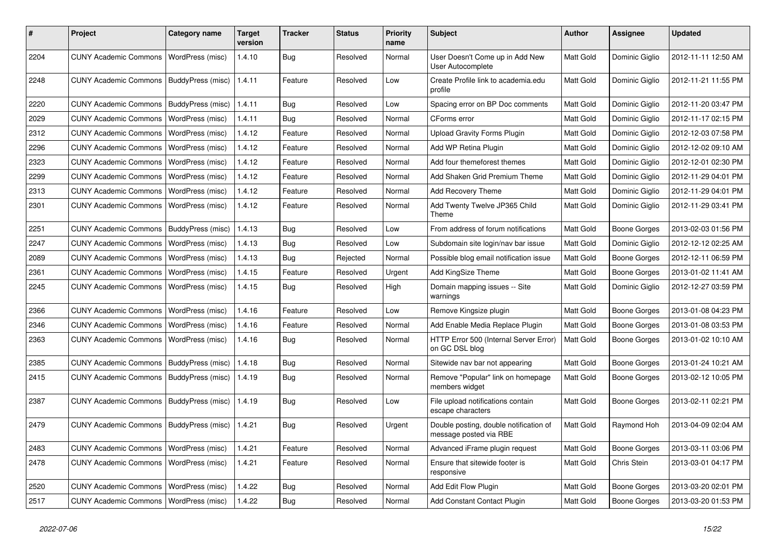| #    | Project                                  | <b>Category name</b> | <b>Target</b><br>version | <b>Tracker</b> | <b>Status</b> | <b>Priority</b><br>name | Subject                                                          | <b>Author</b> | Assignee            | <b>Updated</b>      |
|------|------------------------------------------|----------------------|--------------------------|----------------|---------------|-------------------------|------------------------------------------------------------------|---------------|---------------------|---------------------|
| 2204 | <b>CUNY Academic Commons</b>             | WordPress (misc)     | 1.4.10                   | <b>Bug</b>     | Resolved      | Normal                  | User Doesn't Come up in Add New<br>User Autocomplete             | Matt Gold     | Dominic Giglio      | 2012-11-11 12:50 AM |
| 2248 | <b>CUNY Academic Commons</b>             | BuddyPress (misc)    | 1.4.11                   | Feature        | Resolved      | Low                     | Create Profile link to academia.edu<br>profile                   | Matt Gold     | Dominic Giglio      | 2012-11-21 11:55 PM |
| 2220 | <b>CUNY Academic Commons</b>             | BuddyPress (misc)    | 1.4.11                   | <b>Bug</b>     | Resolved      | Low                     | Spacing error on BP Doc comments                                 | Matt Gold     | Dominic Giglio      | 2012-11-20 03:47 PM |
| 2029 | <b>CUNY Academic Commons</b>             | WordPress (misc)     | 1.4.11                   | Bug            | Resolved      | Normal                  | CForms error                                                     | Matt Gold     | Dominic Giglio      | 2012-11-17 02:15 PM |
| 2312 | <b>CUNY Academic Commons</b>             | WordPress (misc)     | 1.4.12                   | Feature        | Resolved      | Normal                  | <b>Upload Gravity Forms Plugin</b>                               | Matt Gold     | Dominic Giglio      | 2012-12-03 07:58 PM |
| 2296 | <b>CUNY Academic Commons</b>             | WordPress (misc)     | 1.4.12                   | Feature        | Resolved      | Normal                  | Add WP Retina Plugin                                             | Matt Gold     | Dominic Giglio      | 2012-12-02 09:10 AM |
| 2323 | <b>CUNY Academic Commons</b>             | WordPress (misc)     | 1.4.12                   | Feature        | Resolved      | Normal                  | Add four themeforest themes                                      | Matt Gold     | Dominic Giglio      | 2012-12-01 02:30 PM |
| 2299 | <b>CUNY Academic Commons</b>             | WordPress (misc)     | 1.4.12                   | Feature        | Resolved      | Normal                  | Add Shaken Grid Premium Theme                                    | Matt Gold     | Dominic Giglio      | 2012-11-29 04:01 PM |
| 2313 | <b>CUNY Academic Commons</b>             | WordPress (misc)     | 1.4.12                   | Feature        | Resolved      | Normal                  | Add Recovery Theme                                               | Matt Gold     | Dominic Giglio      | 2012-11-29 04:01 PM |
| 2301 | <b>CUNY Academic Commons</b>             | WordPress (misc)     | 1.4.12                   | Feature        | Resolved      | Normal                  | Add Twenty Twelve JP365 Child<br>Theme                           | Matt Gold     | Dominic Giglio      | 2012-11-29 03:41 PM |
| 2251 | <b>CUNY Academic Commons</b>             | BuddyPress (misc)    | 1.4.13                   | Bug            | Resolved      | Low                     | From address of forum notifications                              | Matt Gold     | <b>Boone Gorges</b> | 2013-02-03 01:56 PM |
| 2247 | <b>CUNY Academic Commons</b>             | WordPress (misc)     | 1.4.13                   | Bug            | Resolved      | Low                     | Subdomain site login/nav bar issue                               | Matt Gold     | Dominic Giglio      | 2012-12-12 02:25 AM |
| 2089 | <b>CUNY Academic Commons</b>             | WordPress (misc)     | 1.4.13                   | Bug            | Rejected      | Normal                  | Possible blog email notification issue                           | Matt Gold     | Boone Gorges        | 2012-12-11 06:59 PM |
| 2361 | <b>CUNY Academic Commons</b>             | WordPress (misc)     | 1.4.15                   | Feature        | Resolved      | Urgent                  | Add KingSize Theme                                               | Matt Gold     | <b>Boone Gorges</b> | 2013-01-02 11:41 AM |
| 2245 | <b>CUNY Academic Commons</b>             | WordPress (misc)     | 1.4.15                   | Bug            | Resolved      | High                    | Domain mapping issues -- Site<br>warnings                        | Matt Gold     | Dominic Giglio      | 2012-12-27 03:59 PM |
| 2366 | <b>CUNY Academic Commons</b>             | WordPress (misc)     | 1.4.16                   | Feature        | Resolved      | Low                     | Remove Kingsize plugin                                           | Matt Gold     | <b>Boone Gorges</b> | 2013-01-08 04:23 PM |
| 2346 | <b>CUNY Academic Commons</b>             | WordPress (misc)     | 1.4.16                   | Feature        | Resolved      | Normal                  | Add Enable Media Replace Plugin                                  | Matt Gold     | Boone Gorges        | 2013-01-08 03:53 PM |
| 2363 | <b>CUNY Academic Commons</b>             | WordPress (misc)     | 1.4.16                   | <b>Bug</b>     | Resolved      | Normal                  | HTTP Error 500 (Internal Server Error)<br>on GC DSL blog         | Matt Gold     | <b>Boone Gorges</b> | 2013-01-02 10:10 AM |
| 2385 | <b>CUNY Academic Commons</b>             | BuddyPress (misc)    | 1.4.18                   | Bug            | Resolved      | Normal                  | Sitewide nav bar not appearing                                   | Matt Gold     | Boone Gorges        | 2013-01-24 10:21 AM |
| 2415 | <b>CUNY Academic Commons</b>             | BuddyPress (misc)    | 1.4.19                   | <b>Bug</b>     | Resolved      | Normal                  | Remove "Popular" link on homepage<br>members widget              | Matt Gold     | Boone Gorges        | 2013-02-12 10:05 PM |
| 2387 | <b>CUNY Academic Commons</b>             | BuddyPress (misc)    | 1.4.19                   | <b>Bug</b>     | Resolved      | Low                     | File upload notifications contain<br>escape characters           | Matt Gold     | Boone Gorges        | 2013-02-11 02:21 PM |
| 2479 | <b>CUNY Academic Commons</b>             | BuddyPress (misc)    | 1.4.21                   | <b>Bug</b>     | Resolved      | Urgent                  | Double posting, double notification of<br>message posted via RBE | Matt Gold     | Raymond Hoh         | 2013-04-09 02:04 AM |
| 2483 | CUNY Academic Commons   WordPress (misc) |                      | 1.4.21                   | Feature        | Resolved      | Normal                  | Advanced iFrame plugin request                                   | Matt Gold     | Boone Gorges        | 2013-03-11 03:06 PM |
| 2478 | <b>CUNY Academic Commons</b>             | WordPress (misc)     | 1.4.21                   | Feature        | Resolved      | Normal                  | Ensure that sitewide footer is<br>responsive                     | Matt Gold     | Chris Stein         | 2013-03-01 04:17 PM |
| 2520 | <b>CUNY Academic Commons</b>             | WordPress (misc)     | 1.4.22                   | Bug            | Resolved      | Normal                  | Add Edit Flow Plugin                                             | Matt Gold     | Boone Gorges        | 2013-03-20 02:01 PM |
| 2517 | <b>CUNY Academic Commons</b>             | WordPress (misc)     | 1.4.22                   | Bug            | Resolved      | Normal                  | Add Constant Contact Plugin                                      | Matt Gold     | Boone Gorges        | 2013-03-20 01:53 PM |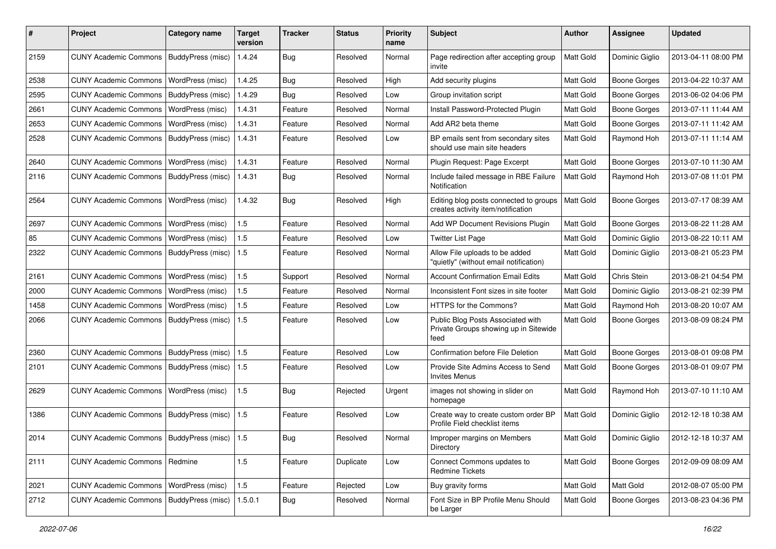| #    | Project                                         | <b>Category name</b>    | Target<br>version | <b>Tracker</b> | <b>Status</b> | <b>Priority</b><br>name | <b>Subject</b>                                                                     | <b>Author</b>    | Assignee            | <b>Updated</b>      |
|------|-------------------------------------------------|-------------------------|-------------------|----------------|---------------|-------------------------|------------------------------------------------------------------------------------|------------------|---------------------|---------------------|
| 2159 | <b>CUNY Academic Commons</b>                    | BuddyPress (misc)       | 1.4.24            | <b>Bug</b>     | Resolved      | Normal                  | Page redirection after accepting group<br>invite                                   | <b>Matt Gold</b> | Dominic Giglio      | 2013-04-11 08:00 PM |
| 2538 | <b>CUNY Academic Commons</b>                    | WordPress (misc)        | 1.4.25            | Bug            | Resolved      | High                    | Add security plugins                                                               | Matt Gold        | <b>Boone Gorges</b> | 2013-04-22 10:37 AM |
| 2595 | <b>CUNY Academic Commons</b>                    | BuddyPress (misc)       | 1.4.29            | <b>Bug</b>     | Resolved      | Low                     | Group invitation script                                                            | Matt Gold        | <b>Boone Gorges</b> | 2013-06-02 04:06 PM |
| 2661 | <b>CUNY Academic Commons</b>                    | WordPress (misc)        | 1.4.31            | Feature        | Resolved      | Normal                  | Install Password-Protected Plugin                                                  | Matt Gold        | <b>Boone Gorges</b> | 2013-07-11 11:44 AM |
| 2653 | <b>CUNY Academic Commons</b>                    | WordPress (misc)        | 1.4.31            | Feature        | Resolved      | Normal                  | Add AR2 beta theme                                                                 | Matt Gold        | <b>Boone Gorges</b> | 2013-07-11 11:42 AM |
| 2528 | <b>CUNY Academic Commons</b>                    | BuddyPress (misc)       | 1.4.31            | Feature        | Resolved      | Low                     | BP emails sent from secondary sites<br>should use main site headers                | Matt Gold        | Raymond Hoh         | 2013-07-11 11:14 AM |
| 2640 | <b>CUNY Academic Commons</b>                    | WordPress (misc)        | 1.4.31            | Feature        | Resolved      | Normal                  | Plugin Request: Page Excerpt                                                       | Matt Gold        | <b>Boone Gorges</b> | 2013-07-10 11:30 AM |
| 2116 | <b>CUNY Academic Commons</b>                    | BuddyPress (misc)       | 1.4.31            | Bug            | Resolved      | Normal                  | Include failed message in RBE Failure<br>Notification                              | Matt Gold        | Raymond Hoh         | 2013-07-08 11:01 PM |
| 2564 | <b>CUNY Academic Commons</b>                    | <b>WordPress (misc)</b> | 1.4.32            | <b>Bug</b>     | Resolved      | High                    | Editing blog posts connected to groups<br>creates activity item/notification       | Matt Gold        | <b>Boone Gorges</b> | 2013-07-17 08:39 AM |
| 2697 | <b>CUNY Academic Commons</b>                    | WordPress (misc)        | 1.5               | Feature        | Resolved      | Normal                  | Add WP Document Revisions Plugin                                                   | Matt Gold        | <b>Boone Gorges</b> | 2013-08-22 11:28 AM |
| 85   | <b>CUNY Academic Commons</b>                    | WordPress (misc)        | 1.5               | Feature        | Resolved      | Low                     | <b>Twitter List Page</b>                                                           | Matt Gold        | Dominic Giglio      | 2013-08-22 10:11 AM |
| 2322 | <b>CUNY Academic Commons</b>                    | BuddyPress (misc)       | 1.5               | Feature        | Resolved      | Normal                  | Allow File uploads to be added<br>"quietly" (without email notification)           | Matt Gold        | Dominic Giglio      | 2013-08-21 05:23 PM |
| 2161 | <b>CUNY Academic Commons</b>                    | WordPress (misc)        | 1.5               | Support        | Resolved      | Normal                  | <b>Account Confirmation Email Edits</b>                                            | Matt Gold        | Chris Stein         | 2013-08-21 04:54 PM |
| 2000 | <b>CUNY Academic Commons</b>                    | WordPress (misc)        | 1.5               | Feature        | Resolved      | Normal                  | Inconsistent Font sizes in site footer                                             | Matt Gold        | Dominic Giglio      | 2013-08-21 02:39 PM |
| 1458 | <b>CUNY Academic Commons</b>                    | <b>WordPress (misc)</b> | 1.5               | Feature        | Resolved      | Low                     | HTTPS for the Commons?                                                             | Matt Gold        | Raymond Hoh         | 2013-08-20 10:07 AM |
| 2066 | <b>CUNY Academic Commons</b>                    | BuddyPress (misc)       | 1.5               | Feature        | Resolved      | Low                     | Public Blog Posts Associated with<br>Private Groups showing up in Sitewide<br>feed | Matt Gold        | Boone Gorges        | 2013-08-09 08:24 PM |
| 2360 | <b>CUNY Academic Commons</b>                    | BuddyPress (misc)   1.5 |                   | Feature        | Resolved      | Low                     | Confirmation before File Deletion                                                  | Matt Gold        | <b>Boone Gorges</b> | 2013-08-01 09:08 PM |
| 2101 | <b>CUNY Academic Commons</b>                    | BuddyPress (misc)       | 1.5               | Feature        | Resolved      | Low                     | Provide Site Admins Access to Send<br><b>Invites Menus</b>                         | Matt Gold        | Boone Gorges        | 2013-08-01 09:07 PM |
| 2629 | <b>CUNY Academic Commons</b>                    | WordPress (misc)        | 1.5               | Bug            | Rejected      | Urgent                  | images not showing in slider on<br>homepage                                        | Matt Gold        | Raymond Hoh         | 2013-07-10 11:10 AM |
| 1386 | <b>CUNY Academic Commons</b>                    | BuddyPress (misc)       | 1.5               | Feature        | Resolved      | Low                     | Create way to create custom order BP<br>Profile Field checklist items              | Matt Gold        | Dominic Giglio      | 2012-12-18 10:38 AM |
| 2014 | CUNY Academic Commons   BuddyPress (misc)   1.5 |                         |                   | Bug            | Resolved      | Normal                  | Improper margins on Members<br>Directory                                           | Matt Gold        | Dominic Giglio      | 2012-12-18 10:37 AM |
| 2111 | CUNY Academic Commons   Redmine                 |                         | 1.5               | Feature        | Duplicate     | Low                     | Connect Commons updates to<br><b>Redmine Tickets</b>                               | Matt Gold        | <b>Boone Gorges</b> | 2012-09-09 08:09 AM |
| 2021 | CUNY Academic Commons   WordPress (misc)        |                         | 1.5               | Feature        | Rejected      | Low                     | Buy gravity forms                                                                  | Matt Gold        | Matt Gold           | 2012-08-07 05:00 PM |
| 2712 | CUNY Academic Commons   BuddyPress (misc)       |                         | 1.5.0.1           | Bug            | Resolved      | Normal                  | Font Size in BP Profile Menu Should<br>be Larger                                   | Matt Gold        | <b>Boone Gorges</b> | 2013-08-23 04:36 PM |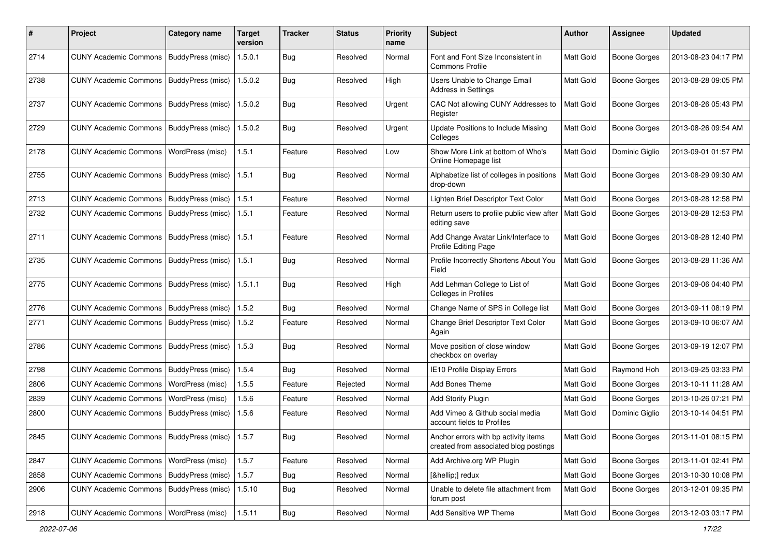| #    | Project                                           | <b>Category name</b> | <b>Target</b><br>version | <b>Tracker</b> | <b>Status</b> | <b>Priority</b><br>name | Subject                                                                       | <b>Author</b> | <b>Assignee</b>     | <b>Updated</b>      |
|------|---------------------------------------------------|----------------------|--------------------------|----------------|---------------|-------------------------|-------------------------------------------------------------------------------|---------------|---------------------|---------------------|
| 2714 | <b>CUNY Academic Commons</b>                      | BuddyPress (misc)    | 1.5.0.1                  | <b>Bug</b>     | Resolved      | Normal                  | Font and Font Size Inconsistent in<br><b>Commons Profile</b>                  | Matt Gold     | <b>Boone Gorges</b> | 2013-08-23 04:17 PM |
| 2738 | <b>CUNY Academic Commons</b>                      | BuddyPress (misc)    | 1.5.0.2                  | Bug            | Resolved      | High                    | Users Unable to Change Email<br>Address in Settings                           | Matt Gold     | Boone Gorges        | 2013-08-28 09:05 PM |
| 2737 | <b>CUNY Academic Commons</b>                      | BuddyPress (misc)    | 1.5.0.2                  | Bug            | Resolved      | Urgent                  | CAC Not allowing CUNY Addresses to<br>Register                                | Matt Gold     | <b>Boone Gorges</b> | 2013-08-26 05:43 PM |
| 2729 | <b>CUNY Academic Commons</b>                      | BuddyPress (misc)    | 1.5.0.2                  | Bug            | Resolved      | Urgent                  | Update Positions to Include Missing<br>Colleges                               | Matt Gold     | <b>Boone Gorges</b> | 2013-08-26 09:54 AM |
| 2178 | <b>CUNY Academic Commons</b>                      | WordPress (misc)     | 1.5.1                    | Feature        | Resolved      | Low                     | Show More Link at bottom of Who's<br>Online Homepage list                     | Matt Gold     | Dominic Giglio      | 2013-09-01 01:57 PM |
| 2755 | <b>CUNY Academic Commons</b>                      | BuddyPress (misc)    | 1.5.1                    | <b>Bug</b>     | Resolved      | Normal                  | Alphabetize list of colleges in positions<br>drop-down                        | Matt Gold     | <b>Boone Gorges</b> | 2013-08-29 09:30 AM |
| 2713 | <b>CUNY Academic Commons</b>                      | BuddyPress (misc)    | 1.5.1                    | Feature        | Resolved      | Normal                  | Lighten Brief Descriptor Text Color                                           | Matt Gold     | <b>Boone Gorges</b> | 2013-08-28 12:58 PM |
| 2732 | <b>CUNY Academic Commons</b>                      | BuddyPress (misc)    | 1.5.1                    | Feature        | Resolved      | Normal                  | Return users to profile public view after<br>editing save                     | Matt Gold     | <b>Boone Gorges</b> | 2013-08-28 12:53 PM |
| 2711 | <b>CUNY Academic Commons</b>                      | BuddyPress (misc)    | 1.5.1                    | Feature        | Resolved      | Normal                  | Add Change Avatar Link/Interface to<br>Profile Editing Page                   | Matt Gold     | <b>Boone Gorges</b> | 2013-08-28 12:40 PM |
| 2735 | <b>CUNY Academic Commons</b>                      | BuddyPress (misc)    | 1.5.1                    | Bug            | Resolved      | Normal                  | Profile Incorrectly Shortens About You<br>Field                               | Matt Gold     | <b>Boone Gorges</b> | 2013-08-28 11:36 AM |
| 2775 | <b>CUNY Academic Commons</b>                      | BuddyPress (misc)    | 1.5.1.1                  | Bug            | Resolved      | High                    | Add Lehman College to List of<br><b>Colleges in Profiles</b>                  | Matt Gold     | Boone Gorges        | 2013-09-06 04:40 PM |
| 2776 | <b>CUNY Academic Commons</b>                      | BuddyPress (misc)    | 1.5.2                    | Bug            | Resolved      | Normal                  | Change Name of SPS in College list                                            | Matt Gold     | <b>Boone Gorges</b> | 2013-09-11 08:19 PM |
| 2771 | <b>CUNY Academic Commons</b>                      | BuddyPress (misc)    | 1.5.2                    | Feature        | Resolved      | Normal                  | Change Brief Descriptor Text Color<br>Again                                   | Matt Gold     | <b>Boone Gorges</b> | 2013-09-10 06:07 AM |
| 2786 | <b>CUNY Academic Commons</b>                      | BuddyPress (misc)    | 1.5.3                    | Bug            | Resolved      | Normal                  | Move position of close window<br>checkbox on overlay                          | Matt Gold     | Boone Gorges        | 2013-09-19 12:07 PM |
| 2798 | <b>CUNY Academic Commons</b>                      | BuddyPress (misc)    | 1.5.4                    | Bug            | Resolved      | Normal                  | IE10 Profile Display Errors                                                   | Matt Gold     | Raymond Hoh         | 2013-09-25 03:33 PM |
| 2806 | <b>CUNY Academic Commons</b>                      | WordPress (misc)     | 1.5.5                    | Feature        | Rejected      | Normal                  | Add Bones Theme                                                               | Matt Gold     | <b>Boone Gorges</b> | 2013-10-11 11:28 AM |
| 2839 | <b>CUNY Academic Commons</b>                      | WordPress (misc)     | 1.5.6                    | Feature        | Resolved      | Normal                  | <b>Add Storify Plugin</b>                                                     | Matt Gold     | <b>Boone Gorges</b> | 2013-10-26 07:21 PM |
| 2800 | <b>CUNY Academic Commons</b>                      | BuddyPress (misc)    | 1.5.6                    | Feature        | Resolved      | Normal                  | Add Vimeo & Github social media<br>account fields to Profiles                 | Matt Gold     | Dominic Giglio      | 2013-10-14 04:51 PM |
| 2845 | CUNY Academic Commons   BuddyPress (misc)   1.5.7 |                      |                          | Bug            | Resolved      | Normal                  | Anchor errors with bp activity items<br>created from associated blog postings | Matt Gold     | Boone Gorges        | 2013-11-01 08:15 PM |
| 2847 | CUNY Academic Commons   WordPress (misc)          |                      | 1.5.7                    | Feature        | Resolved      | Normal                  | Add Archive.org WP Plugin                                                     | Matt Gold     | <b>Boone Gorges</b> | 2013-11-01 02:41 PM |
| 2858 | <b>CUNY Academic Commons</b>                      | BuddyPress (misc)    | 1.5.7                    | <b>Bug</b>     | Resolved      | Normal                  | […] redux                                                                     | Matt Gold     | <b>Boone Gorges</b> | 2013-10-30 10:08 PM |
| 2906 | CUNY Academic Commons   BuddyPress (misc)         |                      | 1.5.10                   | Bug            | Resolved      | Normal                  | Unable to delete file attachment from<br>forum post                           | Matt Gold     | Boone Gorges        | 2013-12-01 09:35 PM |
| 2918 | CUNY Academic Commons   WordPress (misc)          |                      | 1.5.11                   | Bug            | Resolved      | Normal                  | Add Sensitive WP Theme                                                        | Matt Gold     | Boone Gorges        | 2013-12-03 03:17 PM |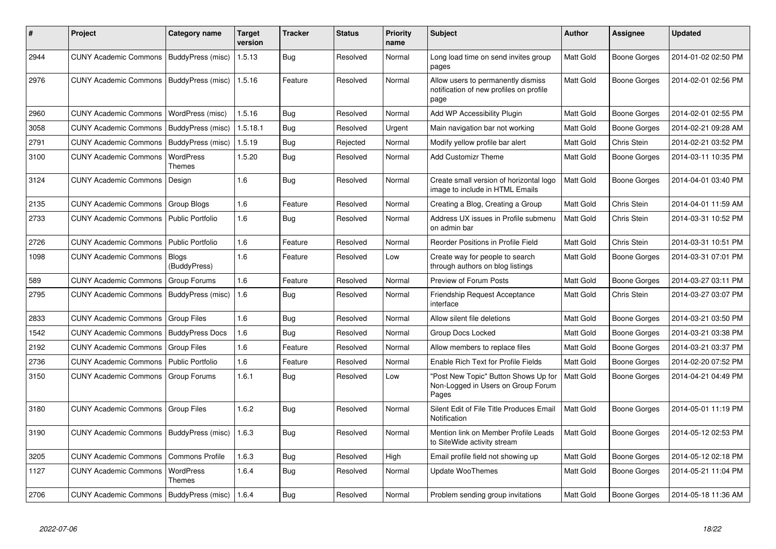| ∦    | <b>Project</b>                            | Category name                | <b>Target</b><br>version | Tracker    | <b>Status</b> | <b>Priority</b><br>name | <b>Subject</b>                                                                        | Author           | Assignee            | <b>Updated</b>      |
|------|-------------------------------------------|------------------------------|--------------------------|------------|---------------|-------------------------|---------------------------------------------------------------------------------------|------------------|---------------------|---------------------|
| 2944 | CUNY Academic Commons   BuddyPress (misc) |                              | 1.5.13                   | Bug        | Resolved      | Normal                  | Long load time on send invites group<br>pages                                         | Matt Gold        | Boone Gorges        | 2014-01-02 02:50 PM |
| 2976 | <b>CUNY Academic Commons</b>              | BuddyPress (misc)            | 1.5.16                   | Feature    | Resolved      | Normal                  | Allow users to permanently dismiss<br>notification of new profiles on profile<br>page | Matt Gold        | Boone Gorges        | 2014-02-01 02:56 PM |
| 2960 | <b>CUNY Academic Commons</b>              | WordPress (misc)             | 1.5.16                   | Bug        | Resolved      | Normal                  | Add WP Accessibility Plugin                                                           | <b>Matt Gold</b> | <b>Boone Gorges</b> | 2014-02-01 02:55 PM |
| 3058 | <b>CUNY Academic Commons</b>              | BuddyPress (misc)            | 1.5.18.1                 | Bug        | Resolved      | Urgent                  | Main navigation bar not working                                                       | Matt Gold        | Boone Gorges        | 2014-02-21 09:28 AM |
| 2791 | <b>CUNY Academic Commons</b>              | BuddyPress (misc)            | 1.5.19                   | Bug        | Rejected      | Normal                  | Modify yellow profile bar alert                                                       | Matt Gold        | Chris Stein         | 2014-02-21 03:52 PM |
| 3100 | <b>CUNY Academic Commons</b>              | <b>WordPress</b><br>Themes   | 1.5.20                   | Bug        | Resolved      | Normal                  | <b>Add Customizr Theme</b>                                                            | Matt Gold        | Boone Gorges        | 2014-03-11 10:35 PM |
| 3124 | <b>CUNY Academic Commons</b>              | Design                       | 1.6                      | <b>Bug</b> | Resolved      | Normal                  | Create small version of horizontal logo<br>image to include in HTML Emails            | Matt Gold        | Boone Gorges        | 2014-04-01 03:40 PM |
| 2135 | <b>CUNY Academic Commons</b>              | Group Blogs                  | 1.6                      | Feature    | Resolved      | Normal                  | Creating a Blog, Creating a Group                                                     | Matt Gold        | Chris Stein         | 2014-04-01 11:59 AM |
| 2733 | <b>CUNY Academic Commons</b>              | <b>Public Portfolio</b>      | 1.6                      | <b>Bug</b> | Resolved      | Normal                  | Address UX issues in Profile submenu<br>on admin bar                                  | Matt Gold        | Chris Stein         | 2014-03-31 10:52 PM |
| 2726 | <b>CUNY Academic Commons</b>              | <b>Public Portfolio</b>      | 1.6                      | Feature    | Resolved      | Normal                  | Reorder Positions in Profile Field                                                    | Matt Gold        | Chris Stein         | 2014-03-31 10:51 PM |
| 1098 | <b>CUNY Academic Commons</b>              | <b>Blogs</b><br>(BuddyPress) | 1.6                      | Feature    | Resolved      | Low                     | Create way for people to search<br>through authors on blog listings                   | Matt Gold        | Boone Gorges        | 2014-03-31 07:01 PM |
| 589  | <b>CUNY Academic Commons</b>              | Group Forums                 | 1.6                      | Feature    | Resolved      | Normal                  | Preview of Forum Posts                                                                | Matt Gold        | Boone Gorges        | 2014-03-27 03:11 PM |
| 2795 | <b>CUNY Academic Commons</b>              | BuddyPress (misc)            | 1.6                      | Bug        | Resolved      | Normal                  | Friendship Request Acceptance<br>interface                                            | Matt Gold        | Chris Stein         | 2014-03-27 03:07 PM |
| 2833 | <b>CUNY Academic Commons</b>              | Group Files                  | 1.6                      | Bug        | Resolved      | Normal                  | Allow silent file deletions                                                           | Matt Gold        | Boone Gorges        | 2014-03-21 03:50 PM |
| 1542 | <b>CUNY Academic Commons</b>              | <b>BuddyPress Docs</b>       | 1.6                      | Bug        | Resolved      | Normal                  | Group Docs Locked                                                                     | Matt Gold        | Boone Gorges        | 2014-03-21 03:38 PM |
| 2192 | <b>CUNY Academic Commons</b>              | Group Files                  | 1.6                      | Feature    | Resolved      | Normal                  | Allow members to replace files                                                        | Matt Gold        | Boone Gorges        | 2014-03-21 03:37 PM |
| 2736 | <b>CUNY Academic Commons</b>              | <b>Public Portfolio</b>      | 1.6                      | Feature    | Resolved      | Normal                  | <b>Enable Rich Text for Profile Fields</b>                                            | Matt Gold        | Boone Gorges        | 2014-02-20 07:52 PM |
| 3150 | <b>CUNY Academic Commons</b>              | Group Forums                 | 1.6.1                    | Bug        | Resolved      | Low                     | 'Post New Topic" Button Shows Up for<br>Non-Logged in Users on Group Forum<br>Pages   | Matt Gold        | Boone Gorges        | 2014-04-21 04:49 PM |
| 3180 | <b>CUNY Academic Commons</b>              | <b>Group Files</b>           | 1.6.2                    | Bug        | Resolved      | Normal                  | Silent Edit of File Title Produces Email<br>Notification                              | Matt Gold        | Boone Gorges        | 2014-05-01 11:19 PM |
| 3190 | <b>CUNY Academic Commons</b>              | BuddyPress (misc)            | 1.6.3                    | Bug        | Resolved      | Normal                  | Mention link on Member Profile Leads<br>to SiteWide activity stream                   | Matt Gold        | Boone Gorges        | 2014-05-12 02:53 PM |
| 3205 | <b>CUNY Academic Commons</b>              | <b>Commons Profile</b>       | 1.6.3                    | <b>Bug</b> | Resolved      | High                    | Email profile field not showing up                                                    | Matt Gold        | Boone Gorges        | 2014-05-12 02:18 PM |
| 1127 | <b>CUNY Academic Commons</b>              | <b>WordPress</b><br>Themes   | 1.6.4                    | Bug        | Resolved      | Normal                  | Update WooThemes                                                                      | Matt Gold        | Boone Gorges        | 2014-05-21 11:04 PM |
| 2706 | <b>CUNY Academic Commons</b>              | BuddyPress (misc) 1.6.4      |                          | Bug        | Resolved      | Normal                  | Problem sending group invitations                                                     | <b>Matt Gold</b> | <b>Boone Gorges</b> | 2014-05-18 11:36 AM |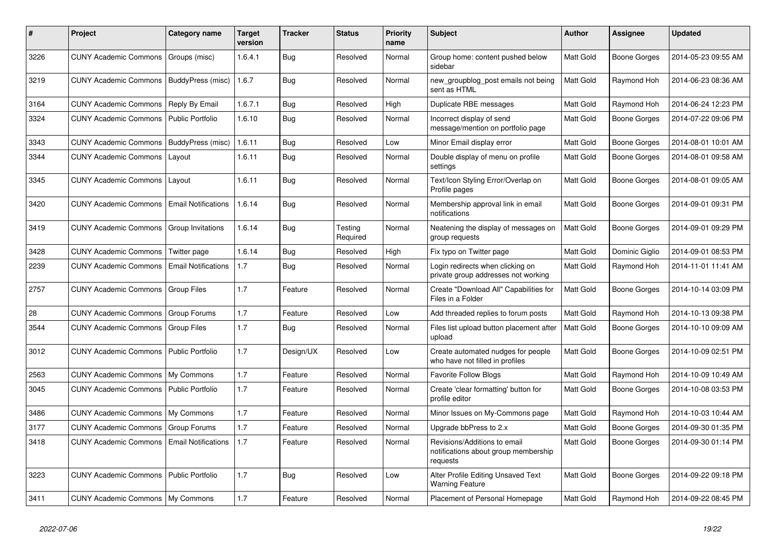| $\#$ | Project                            | Category name              | <b>Target</b><br>version | <b>Tracker</b> | <b>Status</b>       | <b>Priority</b><br>name | <b>Subject</b>                                                                   | <b>Author</b>    | Assignee       | <b>Updated</b>      |
|------|------------------------------------|----------------------------|--------------------------|----------------|---------------------|-------------------------|----------------------------------------------------------------------------------|------------------|----------------|---------------------|
| 3226 | <b>CUNY Academic Commons</b>       | Groups (misc)              | 1.6.4.1                  | Bug            | Resolved            | Normal                  | Group home: content pushed below<br>sidebar                                      | Matt Gold        | Boone Gorges   | 2014-05-23 09:55 AM |
| 3219 | <b>CUNY Academic Commons</b>       | BuddyPress (misc)          | 1.6.7                    | Bug            | Resolved            | Normal                  | new groupblog post emails not being<br>sent as HTML                              | Matt Gold        | Raymond Hoh    | 2014-06-23 08:36 AM |
| 3164 | <b>CUNY Academic Commons</b>       | Reply By Email             | 1.6.7.1                  | Bug            | Resolved            | High                    | Duplicate RBE messages                                                           | Matt Gold        | Raymond Hoh    | 2014-06-24 12:23 PM |
| 3324 | <b>CUNY Academic Commons</b>       | <b>Public Portfolio</b>    | 1.6.10                   | Bug            | Resolved            | Normal                  | Incorrect display of send<br>message/mention on portfolio page                   | Matt Gold        | Boone Gorges   | 2014-07-22 09:06 PM |
| 3343 | <b>CUNY Academic Commons</b>       | BuddyPress (misc)          | 1.6.11                   | <b>Bug</b>     | Resolved            | Low                     | Minor Email display error                                                        | Matt Gold        | Boone Gorges   | 2014-08-01 10:01 AM |
| 3344 | <b>CUNY Academic Commons</b>       | Layout                     | 1.6.11                   | Bug            | Resolved            | Normal                  | Double display of menu on profile<br>settings                                    | Matt Gold        | Boone Gorges   | 2014-08-01 09:58 AM |
| 3345 | <b>CUNY Academic Commons</b>       | Layout                     | 1.6.11                   | <b>Bug</b>     | Resolved            | Normal                  | Text/Icon Styling Error/Overlap on<br>Profile pages                              | Matt Gold        | Boone Gorges   | 2014-08-01 09:05 AM |
| 3420 | <b>CUNY Academic Commons</b>       | <b>Email Notifications</b> | 1.6.14                   | Bug            | Resolved            | Normal                  | Membership approval link in email<br>notifications                               | Matt Gold        | Boone Gorges   | 2014-09-01 09:31 PM |
| 3419 | <b>CUNY Academic Commons</b>       | Group Invitations          | 1.6.14                   | <b>Bug</b>     | Testing<br>Required | Normal                  | Neatening the display of messages on<br>group requests                           | Matt Gold        | Boone Gorges   | 2014-09-01 09:29 PM |
| 3428 | <b>CUNY Academic Commons</b>       | Twitter page               | 1.6.14                   | Bug            | Resolved            | High                    | Fix typo on Twitter page                                                         | Matt Gold        | Dominic Giglio | 2014-09-01 08:53 PM |
| 2239 | <b>CUNY Academic Commons</b>       | <b>Email Notifications</b> | 1.7                      | Bug            | Resolved            | Normal                  | Login redirects when clicking on<br>private group addresses not working          | Matt Gold        | Raymond Hoh    | 2014-11-01 11:41 AM |
| 2757 | <b>CUNY Academic Commons</b>       | <b>Group Files</b>         | 1.7                      | Feature        | Resolved            | Normal                  | Create "Download All" Capabilities for<br>Files in a Folder                      | Matt Gold        | Boone Gorges   | 2014-10-14 03:09 PM |
| 28   | <b>CUNY Academic Commons</b>       | Group Forums               | 1.7                      | Feature        | Resolved            | Low                     | Add threaded replies to forum posts                                              | Matt Gold        | Raymond Hoh    | 2014-10-13 09:38 PM |
| 3544 | <b>CUNY Academic Commons</b>       | <b>Group Files</b>         | 1.7                      | <b>Bug</b>     | Resolved            | Normal                  | Files list upload button placement after<br>upload                               | Matt Gold        | Boone Gorges   | 2014-10-10 09:09 AM |
| 3012 | <b>CUNY Academic Commons</b>       | <b>Public Portfolio</b>    | 1.7                      | Design/UX      | Resolved            | Low                     | Create automated nudges for people<br>who have not filled in profiles            | Matt Gold        | Boone Gorges   | 2014-10-09 02:51 PM |
| 2563 | <b>CUNY Academic Commons</b>       | My Commons                 | 1.7                      | Feature        | Resolved            | Normal                  | <b>Favorite Follow Blogs</b>                                                     | Matt Gold        | Raymond Hoh    | 2014-10-09 10:49 AM |
| 3045 | <b>CUNY Academic Commons</b>       | <b>Public Portfolio</b>    | 1.7                      | Feature        | Resolved            | Normal                  | Create 'clear formatting' button for<br>profile editor                           | <b>Matt Gold</b> | Boone Gorges   | 2014-10-08 03:53 PM |
| 3486 | <b>CUNY Academic Commons</b>       | My Commons                 | 1.7                      | Feature        | Resolved            | Normal                  | Minor Issues on My-Commons page                                                  | Matt Gold        | Raymond Hoh    | 2014-10-03 10:44 AM |
| 3177 | <b>CUNY Academic Commons</b>       | Group Forums               | 1.7                      | Feature        | Resolved            | Normal                  | Upgrade bbPress to 2.x                                                           | Matt Gold        | Boone Gorges   | 2014-09-30 01:35 PM |
| 3418 | <b>CUNY Academic Commons</b>       | <b>Email Notifications</b> | 1.7                      | Feature        | Resolved            | Normal                  | Revisions/Additions to email<br>notifications about group membership<br>requests | Matt Gold        | Boone Gorges   | 2014-09-30 01:14 PM |
| 3223 | <b>CUNY Academic Commons</b>       | Public Portfolio           | 1.7                      | Bug            | Resolved            | Low                     | Alter Profile Editing Unsaved Text<br><b>Warning Feature</b>                     | Matt Gold        | Boone Gorges   | 2014-09-22 09:18 PM |
| 3411 | CUNY Academic Commons   My Commons |                            | 1.7                      | Feature        | Resolved            | Normal                  | Placement of Personal Homepage                                                   | Matt Gold        | Raymond Hoh    | 2014-09-22 08:45 PM |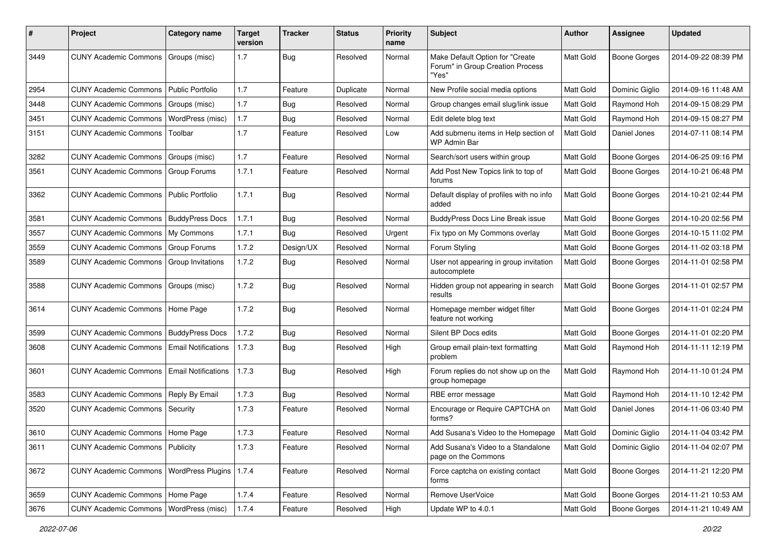| #    | Project                           | <b>Category name</b>       | <b>Target</b><br>version | <b>Tracker</b> | <b>Status</b> | <b>Priority</b><br>name | Subject                                                                      | <b>Author</b> | <b>Assignee</b>     | <b>Updated</b>      |
|------|-----------------------------------|----------------------------|--------------------------|----------------|---------------|-------------------------|------------------------------------------------------------------------------|---------------|---------------------|---------------------|
| 3449 | <b>CUNY Academic Commons</b>      | Groups (misc)              | 1.7                      | <b>Bug</b>     | Resolved      | Normal                  | Make Default Option for "Create<br>Forum" in Group Creation Process<br>"Yes" | Matt Gold     | <b>Boone Gorges</b> | 2014-09-22 08:39 PM |
| 2954 | <b>CUNY Academic Commons</b>      | Public Portfolio           | 1.7                      | Feature        | Duplicate     | Normal                  | New Profile social media options                                             | Matt Gold     | Dominic Giglio      | 2014-09-16 11:48 AM |
| 3448 | <b>CUNY Academic Commons</b>      | Groups (misc)              | 1.7                      | <b>Bug</b>     | Resolved      | Normal                  | Group changes email slug/link issue                                          | Matt Gold     | Raymond Hoh         | 2014-09-15 08:29 PM |
| 3451 | <b>CUNY Academic Commons</b>      | WordPress (misc)           | 1.7                      | Bug            | Resolved      | Normal                  | Edit delete blog text                                                        | Matt Gold     | Raymond Hoh         | 2014-09-15 08:27 PM |
| 3151 | <b>CUNY Academic Commons</b>      | Toolbar                    | 1.7                      | Feature        | Resolved      | Low                     | Add submenu items in Help section of<br><b>WP Admin Bar</b>                  | Matt Gold     | Daniel Jones        | 2014-07-11 08:14 PM |
| 3282 | <b>CUNY Academic Commons</b>      | Groups (misc)              | 1.7                      | Feature        | Resolved      | Normal                  | Search/sort users within group                                               | Matt Gold     | <b>Boone Gorges</b> | 2014-06-25 09:16 PM |
| 3561 | <b>CUNY Academic Commons</b>      | Group Forums               | 1.7.1                    | Feature        | Resolved      | Normal                  | Add Post New Topics link to top of<br>forums                                 | Matt Gold     | <b>Boone Gorges</b> | 2014-10-21 06:48 PM |
| 3362 | <b>CUNY Academic Commons</b>      | Public Portfolio           | 1.7.1                    | Bug            | Resolved      | Normal                  | Default display of profiles with no info<br>added                            | Matt Gold     | <b>Boone Gorges</b> | 2014-10-21 02:44 PM |
| 3581 | <b>CUNY Academic Commons</b>      | <b>BuddyPress Docs</b>     | 1.7.1                    | Bug            | Resolved      | Normal                  | <b>BuddyPress Docs Line Break issue</b>                                      | Matt Gold     | <b>Boone Gorges</b> | 2014-10-20 02:56 PM |
| 3557 | <b>CUNY Academic Commons</b>      | My Commons                 | 1.7.1                    | Bug            | Resolved      | Urgent                  | Fix typo on My Commons overlay                                               | Matt Gold     | <b>Boone Gorges</b> | 2014-10-15 11:02 PM |
| 3559 | <b>CUNY Academic Commons</b>      | <b>Group Forums</b>        | 1.7.2                    | Design/UX      | Resolved      | Normal                  | Forum Styling                                                                | Matt Gold     | <b>Boone Gorges</b> | 2014-11-02 03:18 PM |
| 3589 | <b>CUNY Academic Commons</b>      | Group Invitations          | 1.7.2                    | Bug            | Resolved      | Normal                  | User not appearing in group invitation<br>autocomplete                       | Matt Gold     | <b>Boone Gorges</b> | 2014-11-01 02:58 PM |
| 3588 | <b>CUNY Academic Commons</b>      | Groups (misc)              | 1.7.2                    | Bug            | Resolved      | Normal                  | Hidden group not appearing in search<br>results                              | Matt Gold     | <b>Boone Gorges</b> | 2014-11-01 02:57 PM |
| 3614 | <b>CUNY Academic Commons</b>      | Home Page                  | 1.7.2                    | Bug            | Resolved      | Normal                  | Homepage member widget filter<br>feature not working                         | Matt Gold     | Boone Gorges        | 2014-11-01 02:24 PM |
| 3599 | <b>CUNY Academic Commons</b>      | <b>BuddyPress Docs</b>     | 1.7.2                    | Bug            | Resolved      | Normal                  | Silent BP Docs edits                                                         | Matt Gold     | <b>Boone Gorges</b> | 2014-11-01 02:20 PM |
| 3608 | <b>CUNY Academic Commons</b>      | <b>Email Notifications</b> | 1.7.3                    | <b>Bug</b>     | Resolved      | High                    | Group email plain-text formatting<br>problem                                 | Matt Gold     | Raymond Hoh         | 2014-11-11 12:19 PM |
| 3601 | <b>CUNY Academic Commons</b>      | <b>Email Notifications</b> | 1.7.3                    | Bug            | Resolved      | High                    | Forum replies do not show up on the<br>group homepage                        | Matt Gold     | Raymond Hoh         | 2014-11-10 01:24 PM |
| 3583 | <b>CUNY Academic Commons</b>      | Reply By Email             | 1.7.3                    | Bug            | Resolved      | Normal                  | RBE error message                                                            | Matt Gold     | Raymond Hoh         | 2014-11-10 12:42 PM |
| 3520 | <b>CUNY Academic Commons</b>      | Security                   | 1.7.3                    | Feature        | Resolved      | Normal                  | Encourage or Require CAPTCHA on<br>forms?                                    | Matt Gold     | Daniel Jones        | 2014-11-06 03:40 PM |
| 3610 | CUNY Academic Commons   Home Page |                            | 1.7.3                    | Feature        | Resolved      | Normal                  | Add Susana's Video to the Homepage                                           | Matt Gold     | Dominic Giglio      | 2014-11-04 03:42 PM |
| 3611 | <b>CUNY Academic Commons</b>      | Publicity                  | 1.7.3                    | Feature        | Resolved      | Normal                  | Add Susana's Video to a Standalone<br>page on the Commons                    | Matt Gold     | Dominic Giglio      | 2014-11-04 02:07 PM |
| 3672 | <b>CUNY Academic Commons</b>      | WordPress Plugins          | 1.7.4                    | Feature        | Resolved      | Normal                  | Force captcha on existing contact<br>forms                                   | Matt Gold     | Boone Gorges        | 2014-11-21 12:20 PM |
| 3659 | CUNY Academic Commons   Home Page |                            | 1.7.4                    | Feature        | Resolved      | Normal                  | Remove UserVoice                                                             | Matt Gold     | Boone Gorges        | 2014-11-21 10:53 AM |
| 3676 | <b>CUNY Academic Commons</b>      | WordPress (misc)           | 1.7.4                    | Feature        | Resolved      | High                    | Update WP to 4.0.1                                                           | Matt Gold     | <b>Boone Gorges</b> | 2014-11-21 10:49 AM |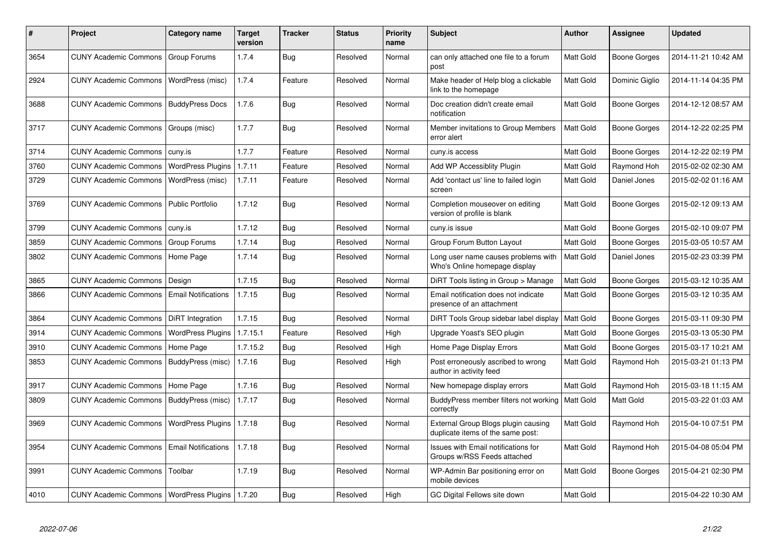| #    | <b>Project</b>                                     | Category name              | <b>Target</b><br>version | Tracker    | <b>Status</b> | <b>Priority</b><br>name | <b>Subject</b>                                                           | <b>Author</b>    | <b>Assignee</b>     | <b>Updated</b>      |
|------|----------------------------------------------------|----------------------------|--------------------------|------------|---------------|-------------------------|--------------------------------------------------------------------------|------------------|---------------------|---------------------|
| 3654 | <b>CUNY Academic Commons</b>                       | Group Forums               | 1.7.4                    | Bug        | Resolved      | Normal                  | can only attached one file to a forum<br>post                            | Matt Gold        | <b>Boone Gorges</b> | 2014-11-21 10:42 AM |
| 2924 | <b>CUNY Academic Commons</b>                       | WordPress (misc)           | 1.7.4                    | Feature    | Resolved      | Normal                  | Make header of Help blog a clickable<br>link to the homepage             | Matt Gold        | Dominic Giglio      | 2014-11-14 04:35 PM |
| 3688 | <b>CUNY Academic Commons</b>                       | <b>BuddyPress Docs</b>     | 1.7.6                    | <b>Bug</b> | Resolved      | Normal                  | Doc creation didn't create email<br>notification                         | Matt Gold        | Boone Gorges        | 2014-12-12 08:57 AM |
| 3717 | <b>CUNY Academic Commons</b>                       | Groups (misc)              | 1.7.7                    | Bug        | Resolved      | Normal                  | Member invitations to Group Members<br>error alert                       | Matt Gold        | Boone Gorges        | 2014-12-22 02:25 PM |
| 3714 | <b>CUNY Academic Commons</b>                       | cuny.is                    | 1.7.7                    | Feature    | Resolved      | Normal                  | cuny.is access                                                           | Matt Gold        | <b>Boone Gorges</b> | 2014-12-22 02:19 PM |
| 3760 | <b>CUNY Academic Commons</b>                       | <b>WordPress Plugins</b>   | 1.7.11                   | Feature    | Resolved      | Normal                  | Add WP Accessiblity Plugin                                               | Matt Gold        | Raymond Hoh         | 2015-02-02 02:30 AM |
| 3729 | <b>CUNY Academic Commons</b>                       | WordPress (misc)           | 1.7.11                   | Feature    | Resolved      | Normal                  | Add 'contact us' line to failed login<br>screen                          | Matt Gold        | Daniel Jones        | 2015-02-02 01:16 AM |
| 3769 | <b>CUNY Academic Commons</b>                       | <b>Public Portfolio</b>    | 1.7.12                   | Bug        | Resolved      | Normal                  | Completion mouseover on editing<br>version of profile is blank           | Matt Gold        | Boone Gorges        | 2015-02-12 09:13 AM |
| 3799 | <b>CUNY Academic Commons</b>                       | cuny.is                    | 1.7.12                   | Bug        | Resolved      | Normal                  | cuny.is issue                                                            | Matt Gold        | Boone Gorges        | 2015-02-10 09:07 PM |
| 3859 | <b>CUNY Academic Commons</b>                       | Group Forums               | 1.7.14                   | <b>Bug</b> | Resolved      | Normal                  | Group Forum Button Layout                                                | Matt Gold        | Boone Gorges        | 2015-03-05 10:57 AM |
| 3802 | <b>CUNY Academic Commons</b>                       | Home Page                  | 1.7.14                   | <b>Bug</b> | Resolved      | Normal                  | Long user name causes problems with<br>Who's Online homepage display     | Matt Gold        | Daniel Jones        | 2015-02-23 03:39 PM |
| 3865 | <b>CUNY Academic Commons</b>                       | Design                     | 1.7.15                   | Bug        | Resolved      | Normal                  | DiRT Tools listing in Group > Manage                                     | Matt Gold        | Boone Gorges        | 2015-03-12 10:35 AM |
| 3866 | <b>CUNY Academic Commons</b>                       | <b>Email Notifications</b> | 1.7.15                   | Bug        | Resolved      | Normal                  | Email notification does not indicate<br>presence of an attachment        | Matt Gold        | Boone Gorges        | 2015-03-12 10:35 AM |
| 3864 | <b>CUNY Academic Commons</b>                       | DiRT Integration           | 1.7.15                   | Bug        | Resolved      | Normal                  | DIRT Tools Group sidebar label display                                   | Matt Gold        | Boone Gorges        | 2015-03-11 09:30 PM |
| 3914 | <b>CUNY Academic Commons</b>                       | <b>WordPress Plugins</b>   | 1.7.15.1                 | Feature    | Resolved      | High                    | Upgrade Yoast's SEO plugin                                               | Matt Gold        | Boone Gorges        | 2015-03-13 05:30 PM |
| 3910 | <b>CUNY Academic Commons</b>                       | Home Page                  | 1.7.15.2                 | Bug        | Resolved      | High                    | Home Page Display Errors                                                 | Matt Gold        | Boone Gorges        | 2015-03-17 10:21 AM |
| 3853 | <b>CUNY Academic Commons</b>                       | BuddyPress (misc)          | 1.7.16                   | <b>Bug</b> | Resolved      | High                    | Post erroneously ascribed to wrong<br>author in activity feed            | Matt Gold        | Raymond Hoh         | 2015-03-21 01:13 PM |
| 3917 | <b>CUNY Academic Commons</b>                       | Home Page                  | 1.7.16                   | <b>Bug</b> | Resolved      | Normal                  | New homepage display errors                                              | Matt Gold        | Raymond Hoh         | 2015-03-18 11:15 AM |
| 3809 | <b>CUNY Academic Commons</b>                       | BuddyPress (misc)          | 1.7.17                   | <b>Bug</b> | Resolved      | Normal                  | BuddyPress member filters not working<br>correctly                       | <b>Matt Gold</b> | Matt Gold           | 2015-03-22 01:03 AM |
| 3969 | <b>CUNY Academic Commons</b>                       | <b>WordPress Plugins</b>   | 1.7.18                   | Bug        | Resolved      | Normal                  | External Group Blogs plugin causing<br>duplicate items of the same post: | Matt Gold        | Raymond Hoh         | 2015-04-10 07:51 PM |
| 3954 | <b>CUNY Academic Commons</b>                       | <b>Email Notifications</b> | 1.7.18                   | <b>Bug</b> | Resolved      | Normal                  | Issues with Email notifications for<br>Groups w/RSS Feeds attached       | Matt Gold        | Raymond Hoh         | 2015-04-08 05:04 PM |
| 3991 | <b>CUNY Academic Commons</b>                       | Toolbar                    | 1.7.19                   | Bug        | Resolved      | Normal                  | WP-Admin Bar positioning error on<br>mobile devices                      | Matt Gold        | Boone Gorges        | 2015-04-21 02:30 PM |
| 4010 | CUNY Academic Commons   WordPress Plugins   1.7.20 |                            |                          | Bug        | Resolved      | High                    | GC Digital Fellows site down                                             | Matt Gold        |                     | 2015-04-22 10:30 AM |